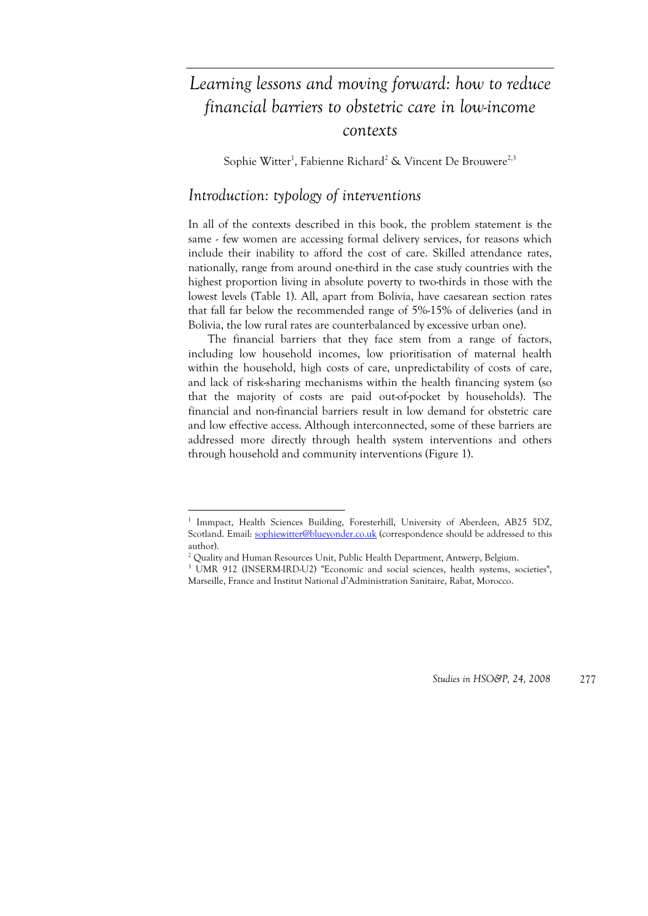# *Learning lessons and moving forward: how to reduce financial barriers to obstetric care in low-income contexts*

Sophie Witter<sup>1</sup>, Fabienne Richard<sup>2</sup> & Vincent De Brouwere<sup>2,3</sup>

# *Introduction: typology of interventions*

In all of the contexts described in this book, the problem statement is the same - few women are accessing formal delivery services, for reasons which include their inability to afford the cost of care. Skilled attendance rates, nationally, range from around one-third in the case study countries with the highest proportion living in absolute poverty to two-thirds in those with the lowest levels (Table 1). All, apart from Bolivia, have caesarean section rates that fall far below the recommended range of 5%-15% of deliveries (and in Bolivia, the low rural rates are counterbalanced by excessive urban one).

The financial barriers that they face stem from a range of factors, including low household incomes, low prioritisation of maternal health within the household, high costs of care, unpredictability of costs of care, and lack of risk-sharing mechanisms within the health financing system (so that the majority of costs are paid out-of-pocket by households). The financial and non-financial barriers result in low demand for obstetric care and low effective access. Although interconnected, some of these barriers are addressed more directly through health system interventions and others through household and community interventions (Figure 1).

<u>.</u>

<sup>&</sup>lt;sup>1</sup> Immpact, Health Sciences Building, Foresterhill, University of Aberdeen, AB25 5DZ, Scotland. Email: sophiewitter@blueyonder.co.uk (correspondence should be addressed to this author).

<sup>&</sup>lt;sup>2</sup> Quality and Human Resources Unit, Public Health Department, Antwerp, Belgium.<br><sup>3</sup> J JMP 012 (INSERM IRD U2) "Economic and social sciences, boalth gyptams, se

UMR 912 (INSERM-IRD-U2) "Economic and social sciences, health systems, societies",

Marseille, France and Institut National d'Administration Sanitaire, Rabat, Morocco.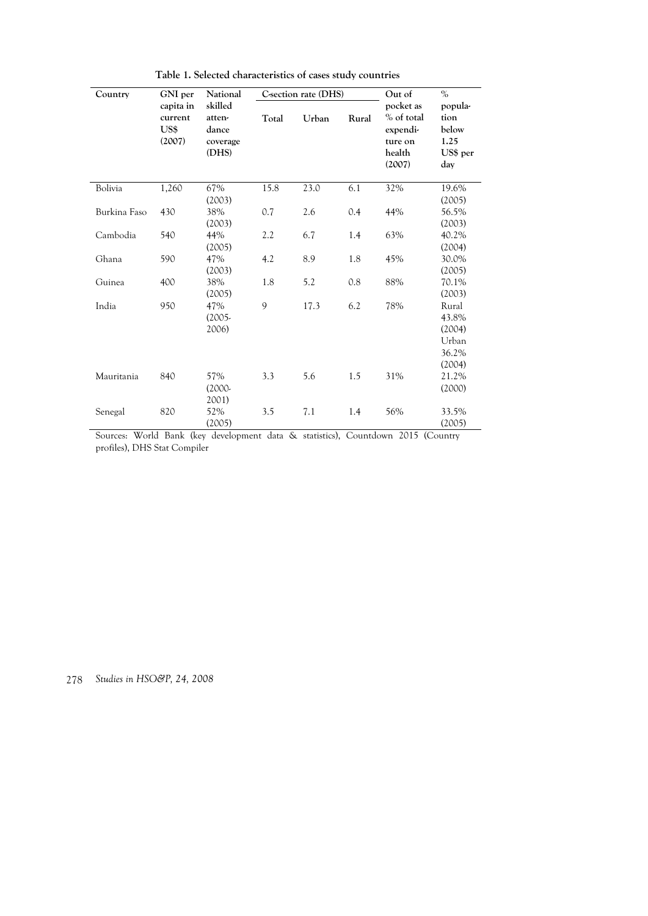| Country      | GNI per                                | National                                        |       | C-section rate (DHS) |       | Out of                                                             | $\%$                                                 |
|--------------|----------------------------------------|-------------------------------------------------|-------|----------------------|-------|--------------------------------------------------------------------|------------------------------------------------------|
|              | capita in<br>current<br>US\$<br>(2007) | skilled<br>atten-<br>dance<br>coverage<br>(DHS) | Total | Urban                | Rural | pocket as<br>% of total<br>expendi-<br>ture on<br>health<br>(2007) | popula-<br>tion<br>below<br>1.25<br>US\$ per<br>day  |
| Bolivia      | 1,260                                  | 67%<br>(2003)                                   | 15.8  | 23.0                 | 6.1   | 32%                                                                | 19.6%<br>(2005)                                      |
| Burkina Faso | 430                                    | 38%<br>(2003)                                   | 0.7   | 2.6                  | 0.4   | 44%                                                                | 56.5%<br>(2003)                                      |
| Cambodia     | 540                                    | 44%<br>(2005)                                   | 2.2   | 6.7                  | 1.4   | 63%                                                                | 40.2%<br>(2004)                                      |
| Ghana        | 590                                    | 47%<br>(2003)                                   | 4.2   | 8.9                  | 1.8   | 45%                                                                | 30.0%<br>(2005)                                      |
| Guinea       | 400                                    | 38%<br>(2005)                                   | 1.8   | 5.2                  | 0.8   | 88%                                                                | 70.1%<br>(2003)                                      |
| India        | 950                                    | 47%<br>$(2005 -$<br>2006)                       | 9     | 17.3                 | 6.2   | 78%                                                                | Rural<br>43.8%<br>(2004)<br>Urban<br>36.2%<br>(2004) |
| Mauritania   | 840                                    | 57%<br>$(2000 -$<br>2001)                       | 3.3   | 5.6                  | 1.5   | 31%                                                                | 21.2%<br>(2000)                                      |
| Senegal      | 820                                    | 52%<br>(2005)                                   | 3.5   | 7.1                  | 1.4   | 56%                                                                | 33.5%<br>(2005)                                      |

**Table 1. Selected characteristics of cases study countries** 

Sources: World Bank (key development data & statistics), Countdown 2015 (Country profiles), DHS Stat Compiler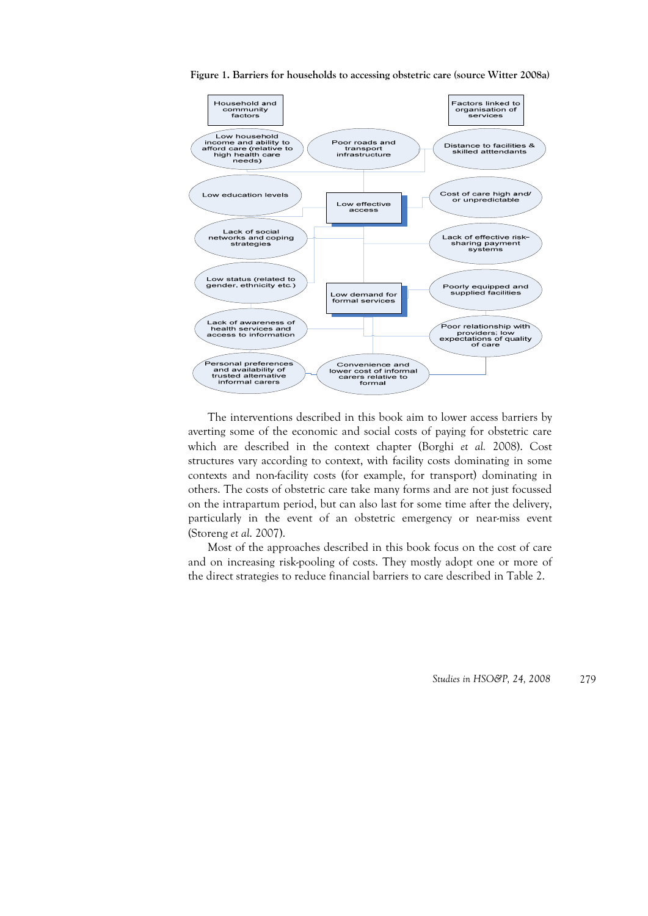

**Figure 1. Barriers for households to accessing obstetric care (source Witter 2008a)** 

The interventions described in this book aim to lower access barriers by averting some of the economic and social costs of paying for obstetric care which are described in the context chapter (Borghi *et al.* 2008). Cost structures vary according to context, with facility costs dominating in some contexts and non-facility costs (for example, for transport) dominating in others. The costs of obstetric care take many forms and are not just focussed on the intrapartum period, but can also last for some time after the delivery, particularly in the event of an obstetric emergency or near-miss event (Storeng *et al*. 2007).

Most of the approaches described in this book focus on the cost of care and on increasing risk-pooling of costs. They mostly adopt one or more of the direct strategies to reduce financial barriers to care described in Table 2.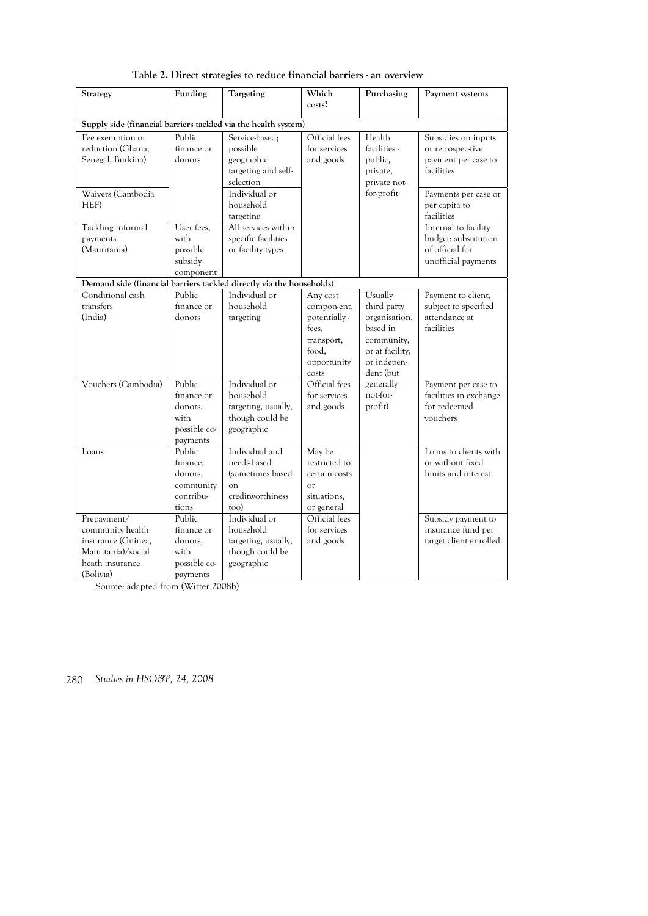| Strategy                                                                                                    | Funding                                                             | Targeting                                                                                     | Which                                                                                            | Purchasing                                                                                                       | Payment systems                                                                                       |
|-------------------------------------------------------------------------------------------------------------|---------------------------------------------------------------------|-----------------------------------------------------------------------------------------------|--------------------------------------------------------------------------------------------------|------------------------------------------------------------------------------------------------------------------|-------------------------------------------------------------------------------------------------------|
|                                                                                                             |                                                                     |                                                                                               | costs?                                                                                           |                                                                                                                  |                                                                                                       |
| Supply side (financial barriers tackled via the health system)                                              |                                                                     |                                                                                               |                                                                                                  |                                                                                                                  |                                                                                                       |
| Fee exemption or<br>reduction (Ghana,<br>Senegal, Burkina)<br>Waivers (Cambodia                             | Public<br>finance or<br>donors                                      | Service-based;<br>possible<br>geographic<br>targeting and self-<br>selection<br>Individual or | Official fees<br>for services<br>and goods                                                       | Health<br>facilities -<br>public,<br>private,<br>private not-<br>for-profit                                      | Subsidies on inputs<br>or retrospec-tive<br>payment per case to<br>facilities<br>Payments per case or |
| HEF)                                                                                                        |                                                                     | household<br>targeting                                                                        |                                                                                                  |                                                                                                                  | per capita to<br>facilities                                                                           |
| Tackling informal<br>payments<br>(Mauritania)                                                               | User fees,<br>with<br>possible<br>subsidy<br>component              | All services within<br>specific facilities<br>or facility types                               |                                                                                                  |                                                                                                                  | Internal to facility<br>budget: substitution<br>of official for<br>unofficial payments                |
| Demand side (financial barriers tackled directly via the households)                                        |                                                                     |                                                                                               |                                                                                                  |                                                                                                                  |                                                                                                       |
| Conditional cash<br>transfers<br>(India)                                                                    | Public<br>finance or<br>donors                                      | Individual or<br>household<br>targeting                                                       | Any cost<br>compon-ent,<br>potentially -<br>fees,<br>transport,<br>food,<br>opportunity<br>costs | Usually<br>third party<br>organisation,<br>based in<br>community,<br>or at facility,<br>or indepen-<br>dent (but | Payment to client,<br>subject to specified<br>attendance at<br>facilities                             |
| Vouchers (Cambodia)                                                                                         | Public<br>finance or<br>donors.<br>with<br>possible co-<br>payments | Individual or<br>household<br>targeting, usually,<br>though could be<br>geographic            | Official fees<br>for services<br>and goods                                                       | generally<br>not-for-<br>profit)                                                                                 | Payment per case to<br>facilities in exchange<br>for redeemed<br>vouchers                             |
| Loans                                                                                                       | Public<br>finance,<br>donors,<br>community<br>contribu-<br>tions    | Individual and<br>needs-based<br>(sometimes based<br>$\alpha$<br>creditworthiness<br>too)     | May be<br>restricted to<br>certain costs<br>$\alpha$ <sup>r</sup><br>situations,<br>or general   |                                                                                                                  | Loans to clients with<br>or without fixed<br>limits and interest                                      |
| Prepayment/<br>community health<br>insurance (Guinea,<br>Mauritania)/social<br>heath insurance<br>(Bolivia) | Public<br>finance or<br>donors,<br>with<br>possible co-<br>payments | Individual or<br>household<br>targeting, usually,<br>though could be<br>geographic            | Official fees<br>for services<br>and goods                                                       |                                                                                                                  | Subsidy payment to<br>insurance fund per<br>target client enrolled                                    |

**Table 2. Direct strategies to reduce financial barriers - an overview** 

Source: adapted from (Witter 2008b)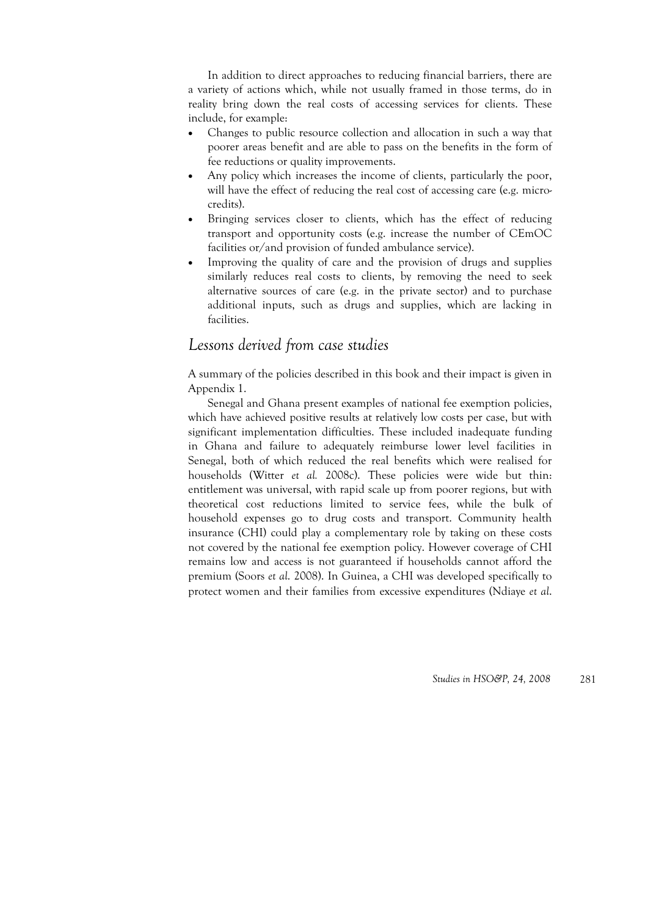In addition to direct approaches to reducing financial barriers, there are a variety of actions which, while not usually framed in those terms, do in reality bring down the real costs of accessing services for clients. These include, for example:

- Changes to public resource collection and allocation in such a way that poorer areas benefit and are able to pass on the benefits in the form of fee reductions or quality improvements.
- Any policy which increases the income of clients, particularly the poor, will have the effect of reducing the real cost of accessing care (e.g. microcredits).
- Bringing services closer to clients, which has the effect of reducing transport and opportunity costs (e.g. increase the number of CEmOC facilities or/and provision of funded ambulance service).
- Improving the quality of care and the provision of drugs and supplies similarly reduces real costs to clients, by removing the need to seek alternative sources of care (e.g. in the private sector) and to purchase additional inputs, such as drugs and supplies, which are lacking in facilities.

# *Lessons derived from case studies*

A summary of the policies described in this book and their impact is given in Appendix 1.

Senegal and Ghana present examples of national fee exemption policies, which have achieved positive results at relatively low costs per case, but with significant implementation difficulties. These included inadequate funding in Ghana and failure to adequately reimburse lower level facilities in Senegal, both of which reduced the real benefits which were realised for households (Witter *et al.* 2008c). These policies were wide but thin: entitlement was universal, with rapid scale up from poorer regions, but with theoretical cost reductions limited to service fees, while the bulk of household expenses go to drug costs and transport. Community health insurance (CHI) could play a complementary role by taking on these costs not covered by the national fee exemption policy. However coverage of CHI remains low and access is not guaranteed if households cannot afford the premium (Soors *et al*. 2008). In Guinea, a CHI was developed specifically to protect women and their families from excessive expenditures (Ndiaye *et al*.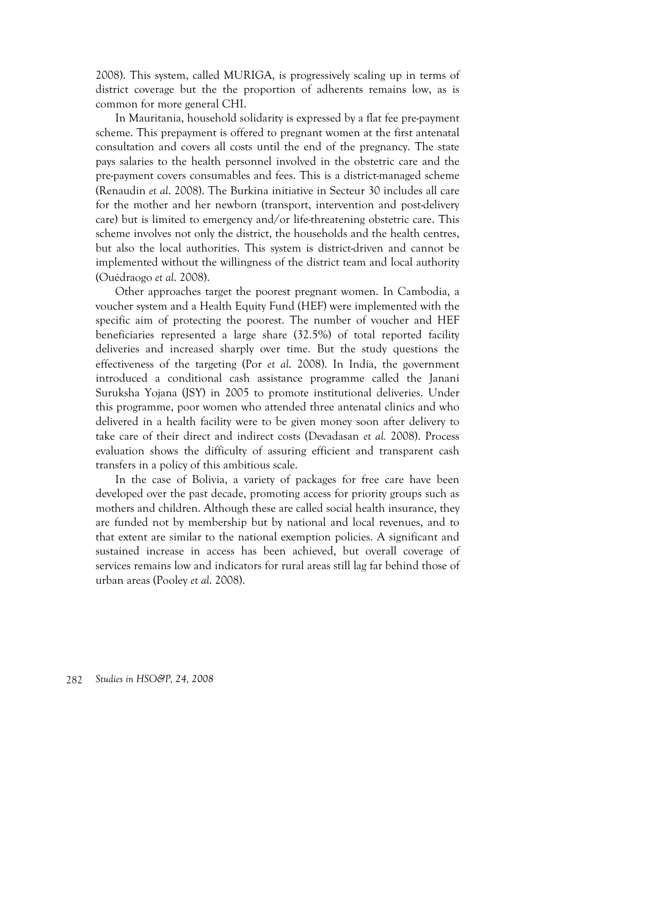2008). This system, called MURIGA, is progressively scaling up in terms of district coverage but the the proportion of adherents remains low, as is common for more general CHI.

In Mauritania, household solidarity is expressed by a flat fee pre-payment scheme. This prepayment is offered to pregnant women at the first antenatal consultation and covers all costs until the end of the pregnancy. The state pays salaries to the health personnel involved in the obstetric care and the pre-payment covers consumables and fees. This is a district-managed scheme (Renaudin *et al*. 2008). The Burkina initiative in Secteur 30 includes all care for the mother and her newborn (transport, intervention and post-delivery care) but is limited to emergency and/or life-threatening obstetric care. This scheme involves not only the district, the households and the health centres, but also the local authorities. This system is district-driven and cannot be implemented without the willingness of the district team and local authority (Ouédraogo *et al*. 2008).

Other approaches target the poorest pregnant women. In Cambodia, a voucher system and a Health Equity Fund (HEF) were implemented with the specific aim of protecting the poorest. The number of voucher and HEF beneficiaries represented a large share (32.5%) of total reported facility deliveries and increased sharply over time. But the study questions the effectiveness of the targeting (Por *et al*. 2008). In India, the government introduced a conditional cash assistance programme called the Janani Suruksha Yojana (JSY) in 2005 to promote institutional deliveries. Under this programme, poor women who attended three antenatal clinics and who delivered in a health facility were to be given money soon after delivery to take care of their direct and indirect costs (Devadasan *et al.* 2008). Process evaluation shows the difficulty of assuring efficient and transparent cash transfers in a policy of this ambitious scale.

In the case of Bolivia, a variety of packages for free care have been developed over the past decade, promoting access for priority groups such as mothers and children. Although these are called social health insurance, they are funded not by membership but by national and local revenues, and to that extent are similar to the national exemption policies. A significant and sustained increase in access has been achieved, but overall coverage of services remains low and indicators for rural areas still lag far behind those of urban areas (Pooley *et al*. 2008).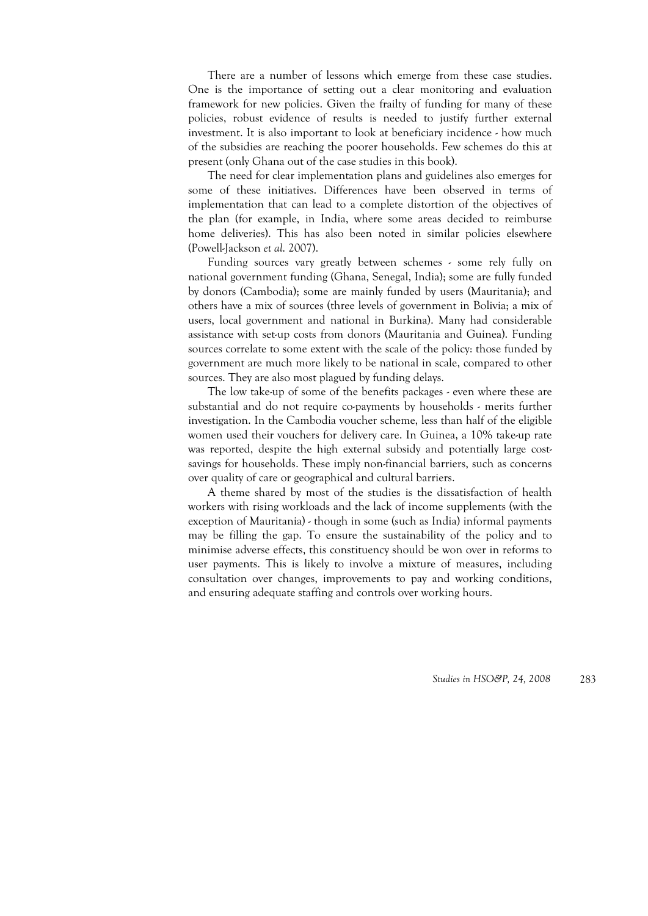There are a number of lessons which emerge from these case studies. One is the importance of setting out a clear monitoring and evaluation framework for new policies. Given the frailty of funding for many of these policies, robust evidence of results is needed to justify further external investment. It is also important to look at beneficiary incidence - how much of the subsidies are reaching the poorer households. Few schemes do this at present (only Ghana out of the case studies in this book).

The need for clear implementation plans and guidelines also emerges for some of these initiatives. Differences have been observed in terms of implementation that can lead to a complete distortion of the objectives of the plan (for example, in India, where some areas decided to reimburse home deliveries). This has also been noted in similar policies elsewhere (Powell-Jackson *et al*. 2007).

Funding sources vary greatly between schemes - some rely fully on national government funding (Ghana, Senegal, India); some are fully funded by donors (Cambodia); some are mainly funded by users (Mauritania); and others have a mix of sources (three levels of government in Bolivia; a mix of users, local government and national in Burkina). Many had considerable assistance with set-up costs from donors (Mauritania and Guinea). Funding sources correlate to some extent with the scale of the policy: those funded by government are much more likely to be national in scale, compared to other sources. They are also most plagued by funding delays.

The low take-up of some of the benefits packages - even where these are substantial and do not require co-payments by households - merits further investigation. In the Cambodia voucher scheme, less than half of the eligible women used their vouchers for delivery care. In Guinea, a 10% take-up rate was reported, despite the high external subsidy and potentially large costsavings for households. These imply non-financial barriers, such as concerns over quality of care or geographical and cultural barriers.

A theme shared by most of the studies is the dissatisfaction of health workers with rising workloads and the lack of income supplements (with the exception of Mauritania) - though in some (such as India) informal payments may be filling the gap. To ensure the sustainability of the policy and to minimise adverse effects, this constituency should be won over in reforms to user payments. This is likely to involve a mixture of measures, including consultation over changes, improvements to pay and working conditions, and ensuring adequate staffing and controls over working hours.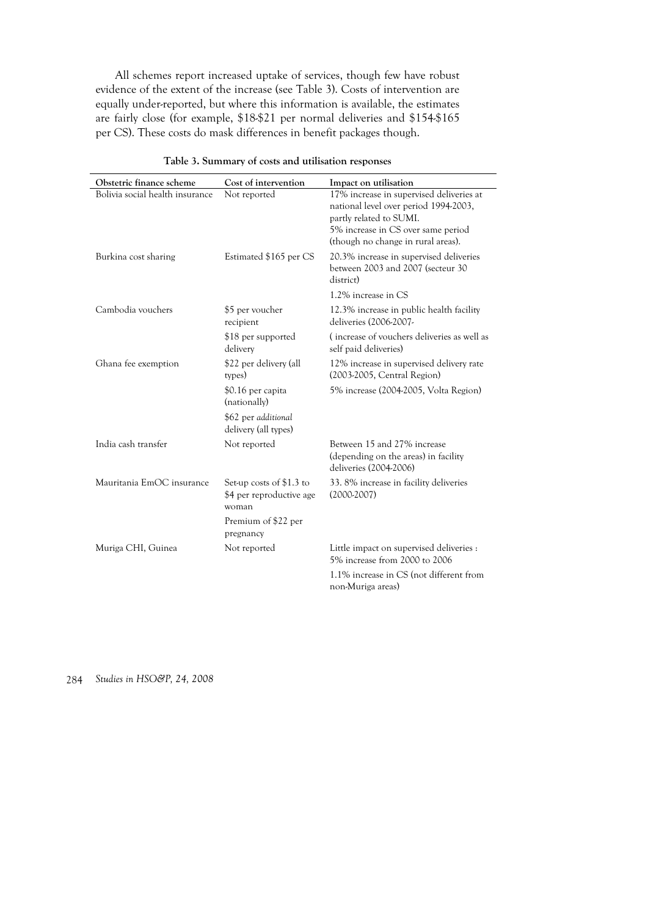All schemes report increased uptake of services, though few have robust evidence of the extent of the increase (see Table 3). Costs of intervention are equally under-reported, but where this information is available, the estimates are fairly close (for example, \$18-\$21 per normal deliveries and \$154-\$165 per CS). These costs do mask differences in benefit packages though.

| Obstetric finance scheme        | Cost of intervention                                          | Impact on utilisation                                                                                                                                                                    |
|---------------------------------|---------------------------------------------------------------|------------------------------------------------------------------------------------------------------------------------------------------------------------------------------------------|
| Bolivia social health insurance | Not reported                                                  | 17% increase in supervised deliveries at<br>national level over period 1994-2003,<br>partly related to SUMI.<br>5% increase in CS over same period<br>(though no change in rural areas). |
| Burkina cost sharing            | Estimated \$165 per CS                                        | 20.3% increase in supervised deliveries<br>between 2003 and 2007 (secteur 30<br>district)                                                                                                |
|                                 |                                                               | 1.2% increase in CS                                                                                                                                                                      |
| Cambodia vouchers               | \$5 per voucher<br>recipient                                  | 12.3% increase in public health facility<br>deliveries (2006-2007-                                                                                                                       |
|                                 | \$18 per supported<br>delivery                                | (increase of vouchers deliveries as well as<br>self paid deliveries)                                                                                                                     |
| Ghana fee exemption             | \$22 per delivery (all<br>types)                              | 12% increase in supervised delivery rate<br>(2003-2005, Central Region)                                                                                                                  |
|                                 | \$0.16 per capita<br>(nationally)                             | 5% increase (2004-2005, Volta Region)                                                                                                                                                    |
|                                 | \$62 per additional<br>delivery (all types)                   |                                                                                                                                                                                          |
| India cash transfer             | Not reported                                                  | Between 15 and 27% increase<br>(depending on the areas) in facility<br>deliveries (2004-2006)                                                                                            |
| Mauritania EmOC insurance       | Set-up costs of \$1.3 to<br>\$4 per reproductive age<br>woman | 33.8% increase in facility deliveries<br>$(2000-2007)$                                                                                                                                   |
|                                 | Premium of \$22 per<br>pregnancy                              |                                                                                                                                                                                          |
| Muriga CHI, Guinea              | Not reported                                                  | Little impact on supervised deliveries :<br>5% increase from 2000 to 2006                                                                                                                |
|                                 |                                                               | 1.1% increase in CS (not different from<br>non-Muriga areas)                                                                                                                             |

**Table 3. Summary of costs and utilisation responses**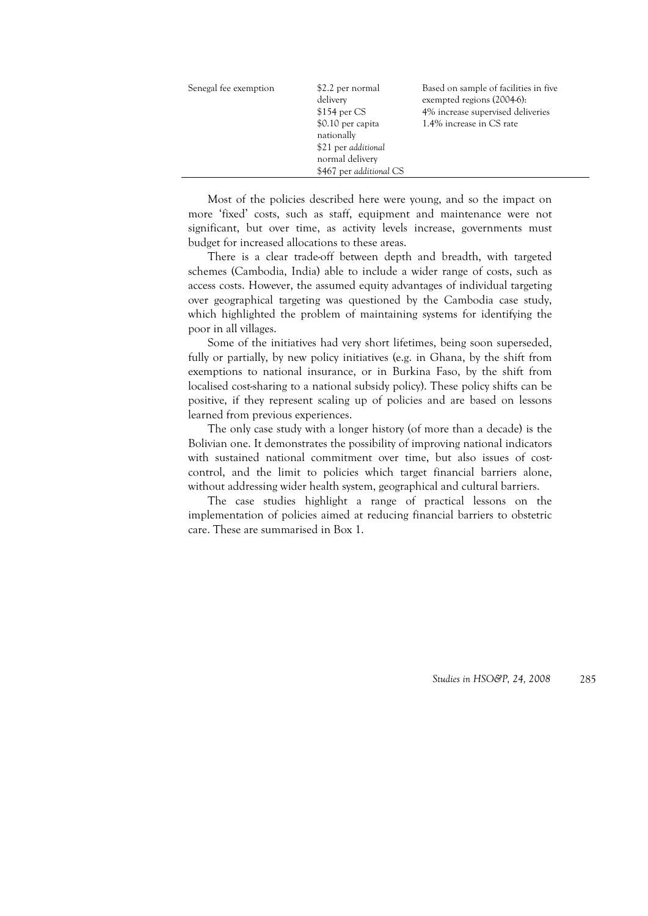| Senegal fee exemption | \$2.2 per normal<br>delivery<br>$$154$ per CS<br>\$0.10 per capita<br>nationally<br>\$21 per additional<br>normal delivery<br>\$467 per additional CS | Based on sample of facilities in five<br>exempted regions (2004-6):<br>4% increase supervised deliveries<br>1.4% increase in CS rate |
|-----------------------|-------------------------------------------------------------------------------------------------------------------------------------------------------|--------------------------------------------------------------------------------------------------------------------------------------|
|-----------------------|-------------------------------------------------------------------------------------------------------------------------------------------------------|--------------------------------------------------------------------------------------------------------------------------------------|

Most of the policies described here were young, and so the impact on more 'fixed' costs, such as staff, equipment and maintenance were not significant, but over time, as activity levels increase, governments must budget for increased allocations to these areas.

There is a clear trade-off between depth and breadth, with targeted schemes (Cambodia, India) able to include a wider range of costs, such as access costs. However, the assumed equity advantages of individual targeting over geographical targeting was questioned by the Cambodia case study, which highlighted the problem of maintaining systems for identifying the poor in all villages.

Some of the initiatives had very short lifetimes, being soon superseded, fully or partially, by new policy initiatives (e.g. in Ghana, by the shift from exemptions to national insurance, or in Burkina Faso, by the shift from localised cost-sharing to a national subsidy policy). These policy shifts can be positive, if they represent scaling up of policies and are based on lessons learned from previous experiences.

The only case study with a longer history (of more than a decade) is the Bolivian one. It demonstrates the possibility of improving national indicators with sustained national commitment over time, but also issues of costcontrol, and the limit to policies which target financial barriers alone, without addressing wider health system, geographical and cultural barriers.

The case studies highlight a range of practical lessons on the implementation of policies aimed at reducing financial barriers to obstetric care. These are summarised in Box 1.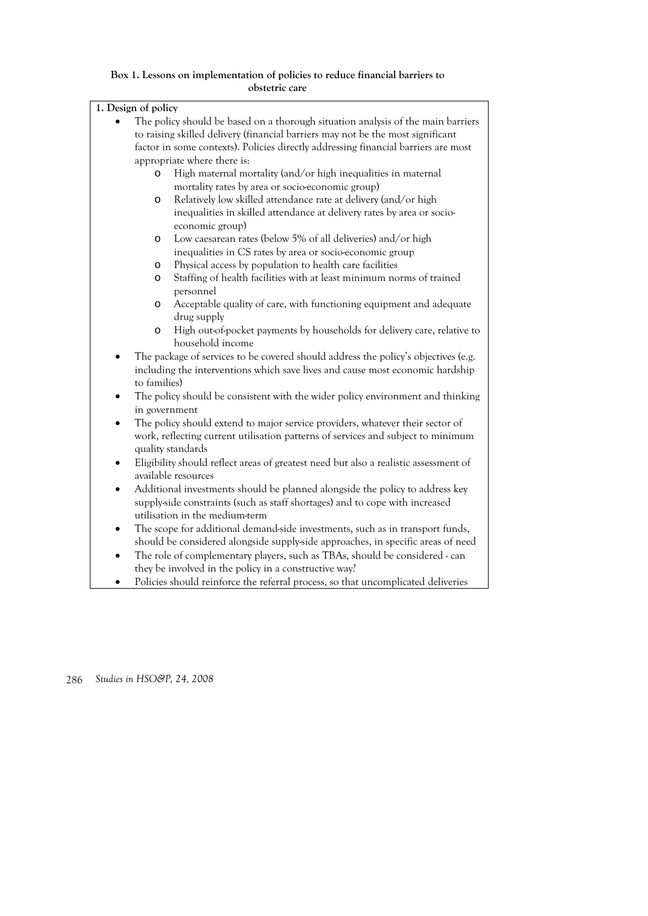#### **Box 1. Lessons on implementation of policies to reduce financial barriers to obstetric care**

| 1. Design of policy                                                             |                                                                                                   |  |  |  |
|---------------------------------------------------------------------------------|---------------------------------------------------------------------------------------------------|--|--|--|
|                                                                                 | The policy should be based on a thorough situation analysis of the main barriers                  |  |  |  |
| to raising skilled delivery (financial barriers may not be the most significant |                                                                                                   |  |  |  |
|                                                                                 | factor in some contexts). Policies directly addressing financial barriers are most                |  |  |  |
|                                                                                 | appropriate where there is:                                                                       |  |  |  |
| $\circ$                                                                         | High maternal mortality (and/or high inequalities in maternal                                     |  |  |  |
|                                                                                 | mortality rates by area or socio-economic group)                                                  |  |  |  |
| $\circ$                                                                         | Relatively low skilled attendance rate at delivery (and/or high                                   |  |  |  |
|                                                                                 | inequalities in skilled attendance at delivery rates by area or socio-                            |  |  |  |
|                                                                                 | economic group)                                                                                   |  |  |  |
| $\circ$                                                                         | Low caesarean rates (below 5% of all deliveries) and/or high                                      |  |  |  |
|                                                                                 | inequalities in CS rates by area or socio-economic group                                          |  |  |  |
| O                                                                               | Physical access by population to health care facilities                                           |  |  |  |
| $\circ$                                                                         | Staffing of health facilities with at least minimum norms of trained                              |  |  |  |
|                                                                                 | personnel                                                                                         |  |  |  |
| $\circ$                                                                         | Acceptable quality of care, with functioning equipment and adequate                               |  |  |  |
|                                                                                 | drug supply                                                                                       |  |  |  |
| $\circ$                                                                         | High out-of-pocket payments by households for delivery care, relative to                          |  |  |  |
|                                                                                 | household income                                                                                  |  |  |  |
| ٠                                                                               | The package of services to be covered should address the policy's objectives (e.g.                |  |  |  |
|                                                                                 | including the interventions which save lives and cause most economic hardship                     |  |  |  |
| to families)                                                                    |                                                                                                   |  |  |  |
| $\bullet$                                                                       | The policy should be consistent with the wider policy environment and thinking                    |  |  |  |
|                                                                                 | in government                                                                                     |  |  |  |
| $\bullet$                                                                       | The policy should extend to major service providers, whatever their sector of                     |  |  |  |
|                                                                                 | work, reflecting current utilisation patterns of services and subject to minimum                  |  |  |  |
|                                                                                 | quality standards                                                                                 |  |  |  |
|                                                                                 | Eligibility should reflect areas of greatest need but also a realistic assessment of<br>$\bullet$ |  |  |  |
|                                                                                 | available resources                                                                               |  |  |  |
|                                                                                 | Additional investments should be planned alongside the policy to address key                      |  |  |  |
|                                                                                 | supply-side constraints (such as staff shortages) and to cope with increased                      |  |  |  |
|                                                                                 | utilisation in the medium-term                                                                    |  |  |  |
|                                                                                 | The scope for additional demand-side investments, such as in transport funds,<br>$\bullet$        |  |  |  |
|                                                                                 | should be considered alongside supply-side approaches, in specific areas of need                  |  |  |  |
| $\bullet$                                                                       | The role of complementary players, such as TBAs, should be considered - can                       |  |  |  |
|                                                                                 | they be involved in the policy in a constructive way?                                             |  |  |  |
|                                                                                 | Policies should reinforce the referral process, so that uncomplicated deliveries                  |  |  |  |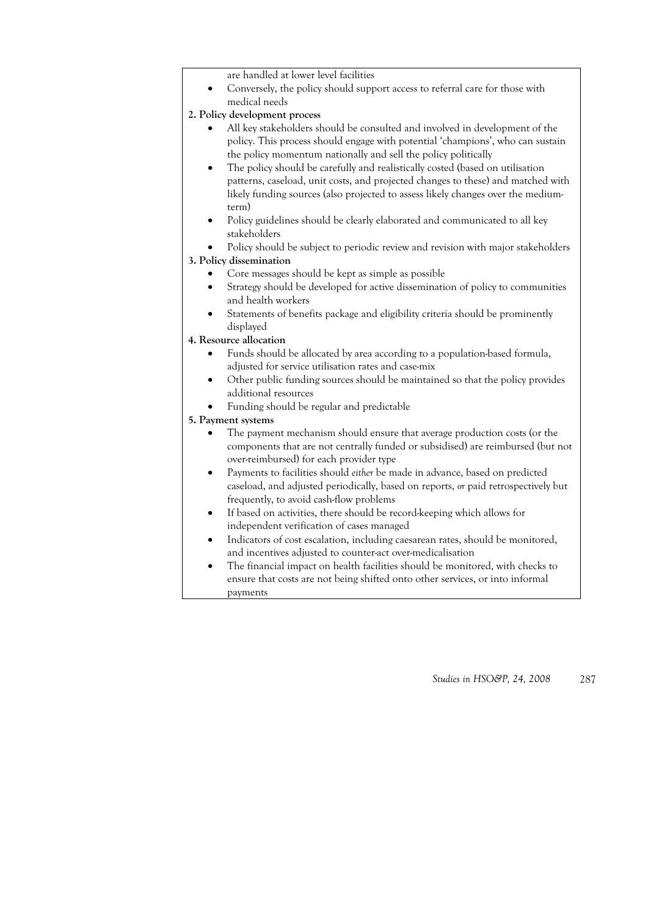- are handled at lower level facilities
- Conversely, the policy should support access to referral care for those with medical needs

#### **2. Policy development process**

- All key stakeholders should be consulted and involved in development of the policy. This process should engage with potential 'champions', who can sustain the policy momentum nationally and sell the policy politically
- The policy should be carefully and realistically costed (based on utilisation patterns, caseload, unit costs, and projected changes to these) and matched with likely funding sources (also projected to assess likely changes over the mediumterm)
- Policy guidelines should be clearly elaborated and communicated to all key stakeholders
- Policy should be subject to periodic review and revision with major stakeholders

#### **3. Policy dissemination**

- Core messages should be kept as simple as possible
- Strategy should be developed for active dissemination of policy to communities and health workers
- Statements of benefits package and eligibility criteria should be prominently displayed

#### **4. Resource allocation**

- Funds should be allocated by area according to a population-based formula, adjusted for service utilisation rates and case-mix
- Other public funding sources should be maintained so that the policy provides additional resources
- Funding should be regular and predictable

#### **5. Payment systems**

- The payment mechanism should ensure that average production costs (or the components that are not centrally funded or subsidised) are reimbursed (but not over-reimbursed) for each provider type
- Payments to facilities should *either* be made in advance, based on predicted caseload, and adjusted periodically, based on reports, *or* paid retrospectively but frequently, to avoid cash-flow problems
- If based on activities, there should be record-keeping which allows for independent verification of cases managed
- Indicators of cost escalation, including caesarean rates, should be monitored, and incentives adjusted to counter-act over-medicalisation
- The financial impact on health facilities should be monitored, with checks to ensure that costs are not being shifted onto other services, or into informal payments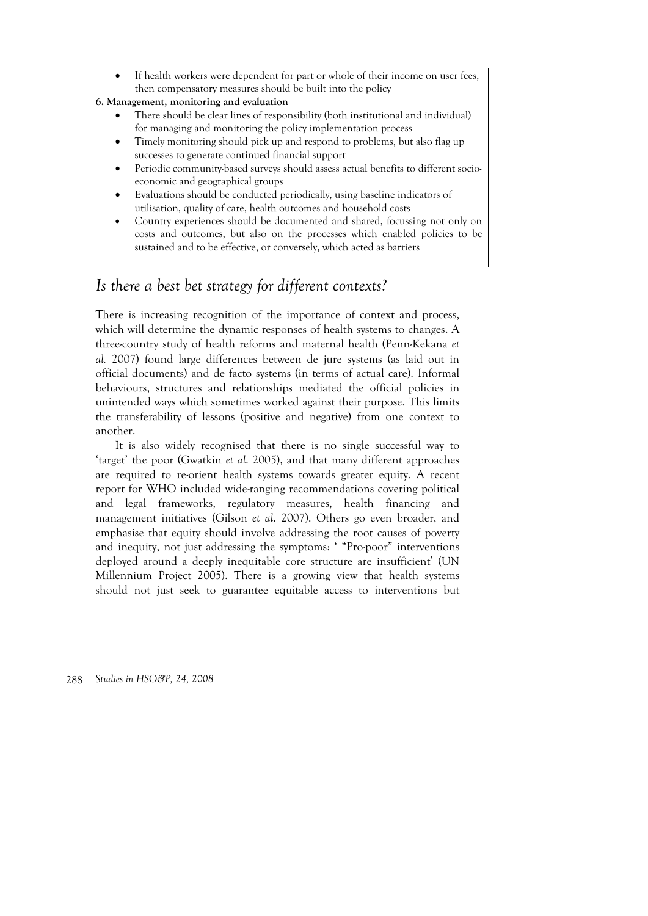• If health workers were dependent for part or whole of their income on user fees, then compensatory measures should be built into the policy

#### **6. Management, monitoring and evaluation**

- There should be clear lines of responsibility (both institutional and individual) for managing and monitoring the policy implementation process
- Timely monitoring should pick up and respond to problems, but also flag up successes to generate continued financial support
- Periodic community-based surveys should assess actual benefits to different socioeconomic and geographical groups
- Evaluations should be conducted periodically, using baseline indicators of utilisation, quality of care, health outcomes and household costs
- Country experiences should be documented and shared, focussing not only on costs and outcomes, but also on the processes which enabled policies to be sustained and to be effective, or conversely, which acted as barriers

# *Is there a best bet strategy for different contexts?*

There is increasing recognition of the importance of context and process, which will determine the dynamic responses of health systems to changes. A three-country study of health reforms and maternal health (Penn-Kekana *et al.* 2007) found large differences between de jure systems (as laid out in official documents) and de facto systems (in terms of actual care). Informal behaviours, structures and relationships mediated the official policies in unintended ways which sometimes worked against their purpose. This limits the transferability of lessons (positive and negative) from one context to another.

It is also widely recognised that there is no single successful way to 'target' the poor (Gwatkin *et al*. 2005), and that many different approaches are required to re-orient health systems towards greater equity. A recent report for WHO included wide-ranging recommendations covering political and legal frameworks, regulatory measures, health financing and management initiatives (Gilson *et al*. 2007). Others go even broader, and emphasise that equity should involve addressing the root causes of poverty and inequity, not just addressing the symptoms: ' "Pro-poor" interventions deployed around a deeply inequitable core structure are insufficient' (UN Millennium Project 2005). There is a growing view that health systems should not just seek to guarantee equitable access to interventions but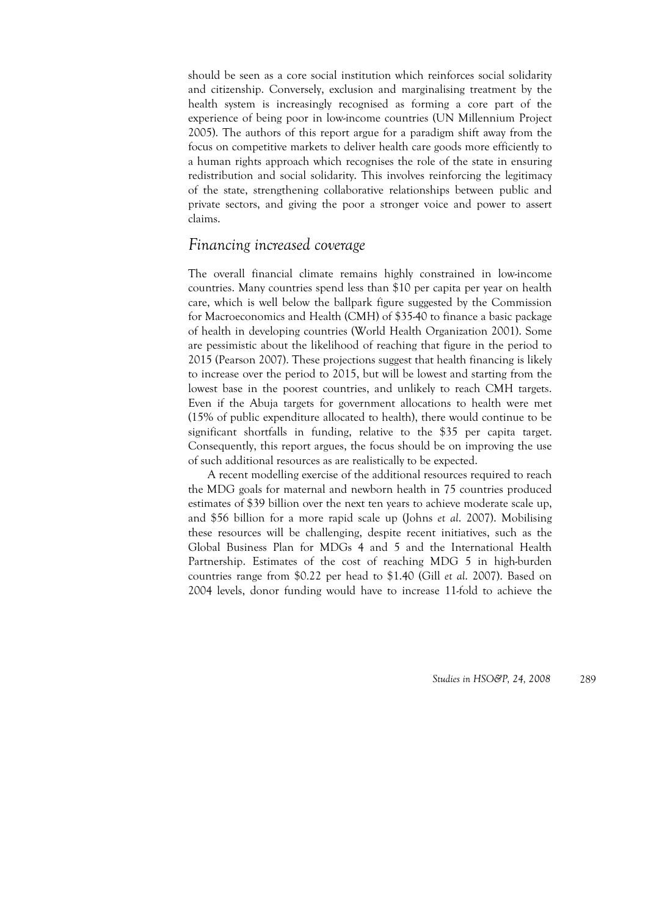should be seen as a core social institution which reinforces social solidarity and citizenship. Conversely, exclusion and marginalising treatment by the health system is increasingly recognised as forming a core part of the experience of being poor in low-income countries (UN Millennium Project 2005). The authors of this report argue for a paradigm shift away from the focus on competitive markets to deliver health care goods more efficiently to a human rights approach which recognises the role of the state in ensuring redistribution and social solidarity. This involves reinforcing the legitimacy of the state, strengthening collaborative relationships between public and private sectors, and giving the poor a stronger voice and power to assert claims.

## *Financing increased coverage*

The overall financial climate remains highly constrained in low-income countries. Many countries spend less than \$10 per capita per year on health care, which is well below the ballpark figure suggested by the Commission for Macroeconomics and Health (CMH) of \$35-40 to finance a basic package of health in developing countries (World Health Organization 2001). Some are pessimistic about the likelihood of reaching that figure in the period to 2015 (Pearson 2007). These projections suggest that health financing is likely to increase over the period to 2015, but will be lowest and starting from the lowest base in the poorest countries, and unlikely to reach CMH targets. Even if the Abuja targets for government allocations to health were met (15% of public expenditure allocated to health), there would continue to be significant shortfalls in funding, relative to the \$35 per capita target. Consequently, this report argues, the focus should be on improving the use of such additional resources as are realistically to be expected.

A recent modelling exercise of the additional resources required to reach the MDG goals for maternal and newborn health in 75 countries produced estimates of \$39 billion over the next ten years to achieve moderate scale up, and \$56 billion for a more rapid scale up (Johns *et al*. 2007). Mobilising these resources will be challenging, despite recent initiatives, such as the Global Business Plan for MDGs 4 and 5 and the International Health Partnership. Estimates of the cost of reaching MDG 5 in high-burden countries range from \$0.22 per head to \$1.40 (Gill *et al*. 2007). Based on 2004 levels, donor funding would have to increase 11-fold to achieve the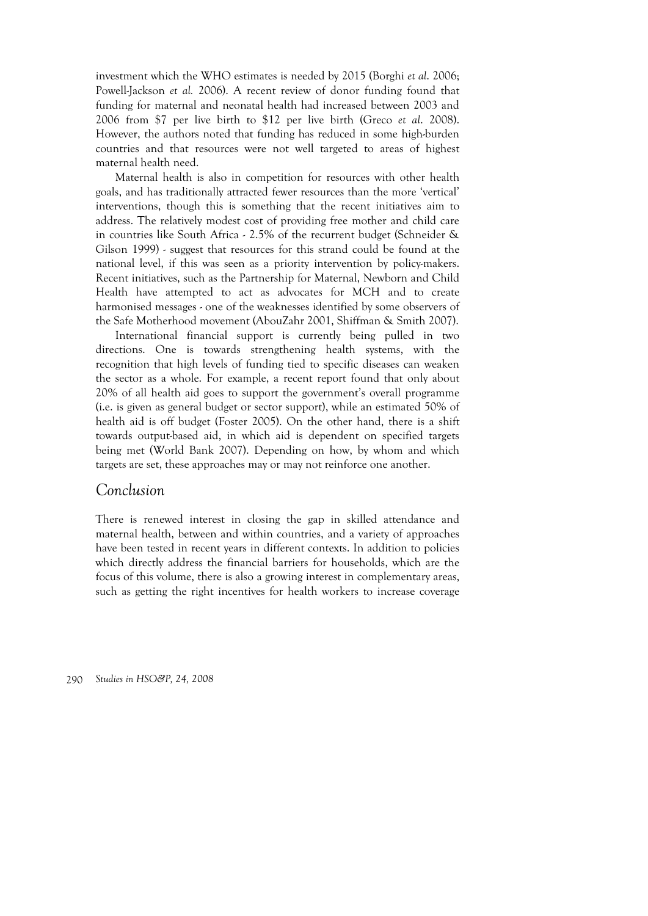investment which the WHO estimates is needed by 2015 (Borghi *et al*. 2006; Powell-Jackson *et al.* 2006). A recent review of donor funding found that funding for maternal and neonatal health had increased between 2003 and 2006 from \$7 per live birth to \$12 per live birth (Greco *et al*. 2008). However, the authors noted that funding has reduced in some high-burden countries and that resources were not well targeted to areas of highest maternal health need.

Maternal health is also in competition for resources with other health goals, and has traditionally attracted fewer resources than the more 'vertical' interventions, though this is something that the recent initiatives aim to address. The relatively modest cost of providing free mother and child care in countries like South Africa - 2.5% of the recurrent budget (Schneider & Gilson 1999) - suggest that resources for this strand could be found at the national level, if this was seen as a priority intervention by policy-makers. Recent initiatives, such as the Partnership for Maternal, Newborn and Child Health have attempted to act as advocates for MCH and to create harmonised messages - one of the weaknesses identified by some observers of the Safe Motherhood movement (AbouZahr 2001, Shiffman & Smith 2007).

International financial support is currently being pulled in two directions. One is towards strengthening health systems, with the recognition that high levels of funding tied to specific diseases can weaken the sector as a whole. For example, a recent report found that only about 20% of all health aid goes to support the government's overall programme (i.e. is given as general budget or sector support), while an estimated 50% of health aid is off budget (Foster 2005). On the other hand, there is a shift towards output-based aid, in which aid is dependent on specified targets being met (World Bank 2007). Depending on how, by whom and which targets are set, these approaches may or may not reinforce one another.

### *Conclusion*

There is renewed interest in closing the gap in skilled attendance and maternal health, between and within countries, and a variety of approaches have been tested in recent years in different contexts. In addition to policies which directly address the financial barriers for households, which are the focus of this volume, there is also a growing interest in complementary areas, such as getting the right incentives for health workers to increase coverage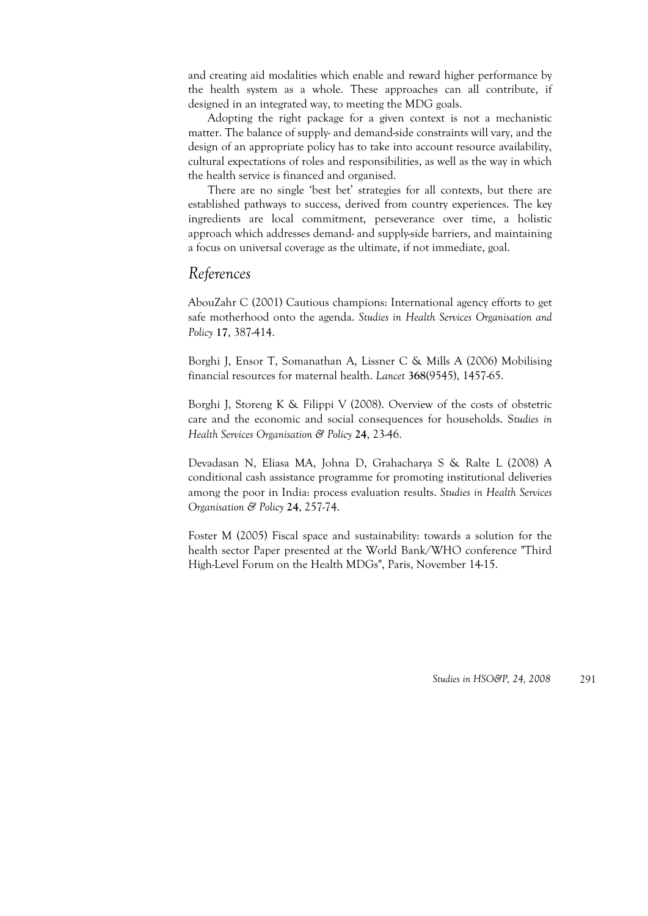and creating aid modalities which enable and reward higher performance by the health system as a whole. These approaches can all contribute, if designed in an integrated way, to meeting the MDG goals.

Adopting the right package for a given context is not a mechanistic matter. The balance of supply- and demand-side constraints will vary, and the design of an appropriate policy has to take into account resource availability, cultural expectations of roles and responsibilities, as well as the way in which the health service is financed and organised.

There are no single 'best bet' strategies for all contexts, but there are established pathways to success, derived from country experiences. The key ingredients are local commitment, perseverance over time, a holistic approach which addresses demand- and supply-side barriers, and maintaining a focus on universal coverage as the ultimate, if not immediate, goal.

### *References*

AbouZahr C (2001) Cautious champions: International agency efforts to get safe motherhood onto the agenda. *Studies in Health Services Organisation and Policy* **17**, 387-414.

Borghi J, Ensor T, Somanathan A, Lissner C & Mills A (2006) Mobilising financial resources for maternal health. *Lancet* **368**(9545), 1457-65.

Borghi J, Storeng K & Filippi V (2008). Overview of the costs of obstetric care and the economic and social consequences for households. S*tudies in Health Services Organisation & Policy* **24**, 23-46.

Devadasan N, Eliasa MA, Johna D, Grahacharya S & Ralte L (2008) A conditional cash assistance programme for promoting institutional deliveries among the poor in India: process evaluation results. *Studies in Health Services Organisation & Policy* **24**, 257-74.

Foster M (2005) Fiscal space and sustainability: towards a solution for the health sector Paper presented at the World Bank/WHO conference "Third High-Level Forum on the Health MDGs", Paris, November 14-15.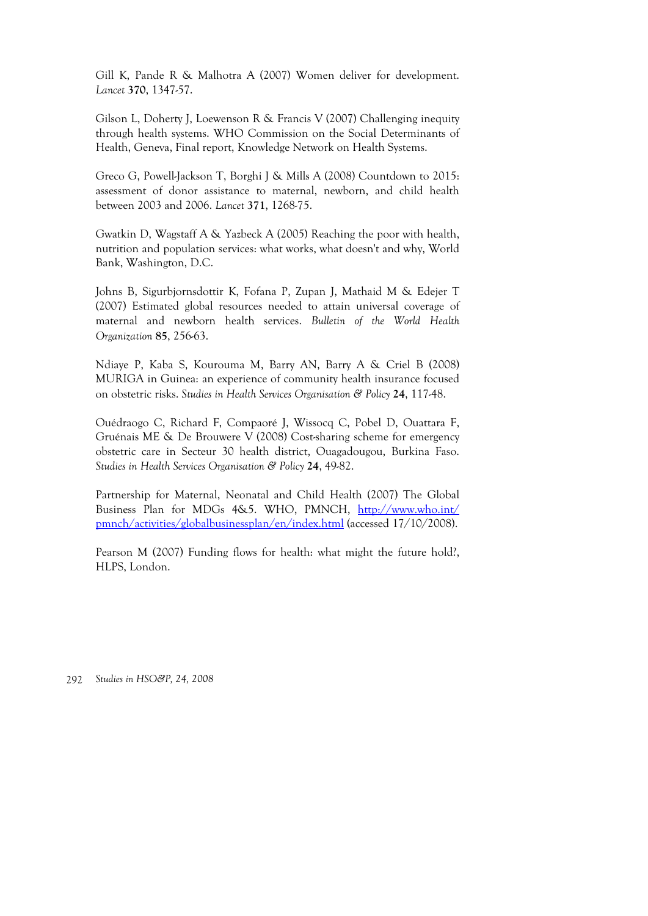Gill K, Pande R & Malhotra A (2007) Women deliver for development. *Lancet* **370**, 1347-57.

Gilson L, Doherty J, Loewenson R & Francis V (2007) Challenging inequity through health systems. WHO Commission on the Social Determinants of Health, Geneva, Final report, Knowledge Network on Health Systems.

Greco G, Powell-Jackson T, Borghi J & Mills A (2008) Countdown to 2015: assessment of donor assistance to maternal, newborn, and child health between 2003 and 2006. *Lancet* **371**, 1268-75.

Gwatkin D, Wagstaff A & Yazbeck A (2005) Reaching the poor with health, nutrition and population services: what works, what doesn't and why, World Bank, Washington, D.C.

Johns B, Sigurbjornsdottir K, Fofana P, Zupan J, Mathaid M & Edejer T (2007) Estimated global resources needed to attain universal coverage of maternal and newborn health services. *Bulletin of the World Health Organization* **85**, 256-63.

Ndiaye P, Kaba S, Kourouma M, Barry AN, Barry A & Criel B (2008) MURIGA in Guinea: an experience of community health insurance focused on obstetric risks. *Studies in Health Services Organisation & Policy* **24**, 117-48.

Ouédraogo C, Richard F, Compaoré J, Wissocq C, Pobel D, Ouattara F, Gruénais ME & De Brouwere V (2008) Cost-sharing scheme for emergency obstetric care in Secteur 30 health district, Ouagadougou, Burkina Faso. *Studies in Health Services Organisation & Policy* **24**, 49-82.

Partnership for Maternal, Neonatal and Child Health (2007) The Global Business Plan for MDGs 4&5. WHO, PMNCH, http://www.who.int/ pmnch/activities/globalbusinessplan/en/index.html (accessed 17/10/2008).

Pearson M (2007) Funding flows for health: what might the future hold?, HLPS, London.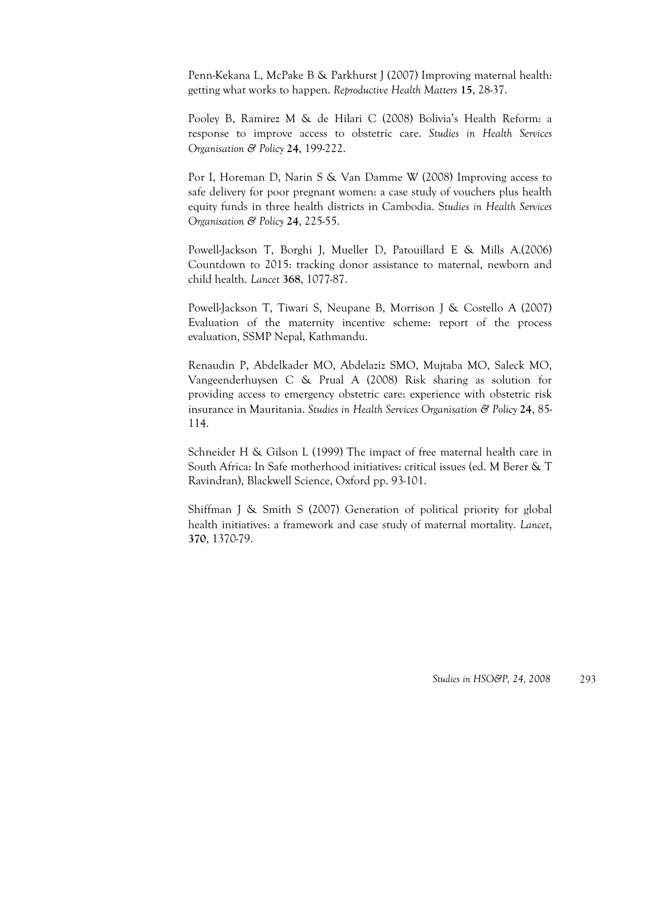Penn-Kekana L, McPake B & Parkhurst J (2007) Improving maternal health: getting what works to happen. *Reproductive Health Matters* **15**, 28-37.

Pooley B, Ramirez M & de Hilari C (2008) Bolivia's Health Reform: a response to improve access to obstetric care. *Studies in Health Services Organisation & Policy* **24**, 199-222.

Por I, Horeman D, Narin S & Van Damme W (2008) Improving access to safe delivery for poor pregnant women: a case study of vouchers plus health equity funds in three health districts in Cambodia. S*tudies in Health Services Organisation & Policy* **24**, 225-55.

Powell-Jackson T, Borghi J, Mueller D, Patouillard E & Mills A.(2006) Countdown to 2015: tracking donor assistance to maternal, newborn and child health. *Lancet* **368**, 1077-87.

Powell-Jackson T, Tiwari S, Neupane B, Morrison J & Costello A (2007) Evaluation of the maternity incentive scheme: report of the process evaluation, SSMP Nepal, Kathmandu.

Renaudin P, Abdelkader MO, Abdelaziz SMO, Mujtaba MO, Saleck MO, Vangeenderhuysen C & Prual A (2008) Risk sharing as solution for providing access to emergency obstetric care: experience with obstetric risk insurance in Mauritania. *Studies in Health Services Organisation & Policy* **24**, 85- 114.

Schneider H & Gilson L (1999) The impact of free maternal health care in South Africa: In Safe motherhood initiatives: critical issues (ed. M Berer & T Ravindran), Blackwell Science, Oxford pp. 93-101.

Shiffman J & Smith S (2007) Generation of political priority for global health initiatives: a framework and case study of maternal mortality. *Lancet*, **370**, 1370-79.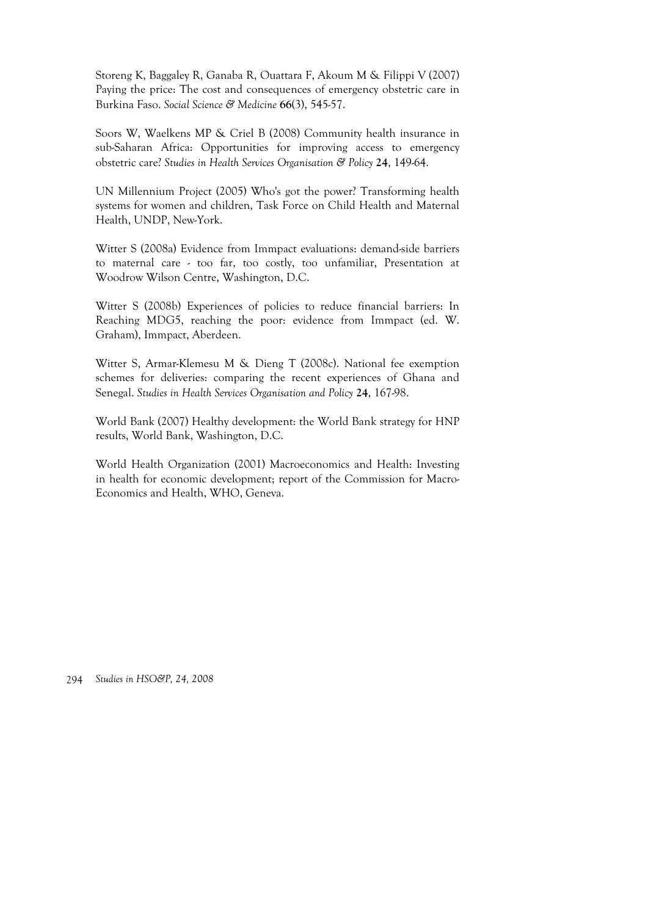Storeng K, Baggaley R, Ganaba R, Ouattara F, Akoum M & Filippi V (2007) Paying the price: The cost and consequences of emergency obstetric care in Burkina Faso. *Social Science & Medicine* **66**(3), 545-57.

Soors W, Waelkens MP & Criel B (2008) Community health insurance in sub-Saharan Africa: Opportunities for improving access to emergency obstetric care? *Studies in Health Services Organisation & Policy* **24**, 149-64.

UN Millennium Project (2005) Who's got the power? Transforming health systems for women and children, Task Force on Child Health and Maternal Health, UNDP, New-York.

Witter S (2008a) Evidence from Immpact evaluations: demand-side barriers to maternal care - too far, too costly, too unfamiliar, Presentation at Woodrow Wilson Centre, Washington, D.C.

Witter S (2008b) Experiences of policies to reduce financial barriers: In Reaching MDG5, reaching the poor: evidence from Immpact (ed. W. Graham), Immpact, Aberdeen.

Witter S, Armar-Klemesu M & Dieng T (2008c). National fee exemption schemes for deliveries: comparing the recent experiences of Ghana and Senegal. *Studies in Health Services Organisation and Policy* **24**, 167-98.

World Bank (2007) Healthy development: the World Bank strategy for HNP results, World Bank, Washington, D.C.

World Health Organization (2001) Macroeconomics and Health: Investing in health for economic development; report of the Commission for Macro-Economics and Health, WHO, Geneva.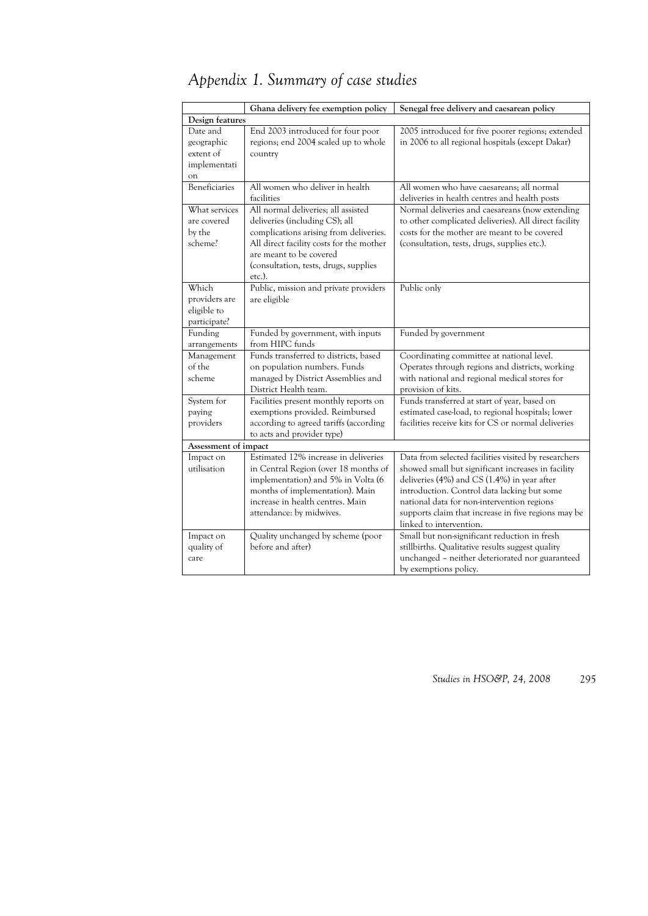| Appendix 1. Summary of case studies |  |  |  |  |  |
|-------------------------------------|--|--|--|--|--|
|-------------------------------------|--|--|--|--|--|

|                          | Ghana delivery fee exemption policy             | Senegal free delivery and caesarean policy            |
|--------------------------|-------------------------------------------------|-------------------------------------------------------|
| Design features          |                                                 |                                                       |
| Date and                 | End 2003 introduced for four poor               | 2005 introduced for five poorer regions; extended     |
| geographic               | regions; end 2004 scaled up to whole            | in 2006 to all regional hospitals (except Dakar)      |
| extent of                | country                                         |                                                       |
| implementati             |                                                 |                                                       |
| on                       |                                                 |                                                       |
| Beneficiaries            | All women who deliver in health                 | All women who have caesareans; all normal             |
|                          | facilities                                      | deliveries in health centres and health posts         |
| What services            | All normal deliveries; all assisted             | Normal deliveries and caesareans (now extending       |
| are covered              | deliveries (including CS); all                  | to other complicated deliveries). All direct facility |
| by the                   | complications arising from deliveries.          | costs for the mother are meant to be covered          |
| scheme?                  | All direct facility costs for the mother        | (consultation, tests, drugs, supplies etc.).          |
|                          | are meant to be covered                         |                                                       |
|                          |                                                 |                                                       |
|                          | (consultation, tests, drugs, supplies<br>etc.). |                                                       |
| Which                    | Public, mission and private providers           | Public only                                           |
| providers are            | are eligible                                    |                                                       |
| eligible to              |                                                 |                                                       |
|                          |                                                 |                                                       |
| participate?<br>Funding  | Funded by government, with inputs               | Funded by government                                  |
| arrangements             | from HIPC funds                                 |                                                       |
| Management               | Funds transferred to districts, based           | Coordinating committee at national level.             |
| of the                   | on population numbers. Funds                    | Operates through regions and districts, working       |
| scheme                   | managed by District Assemblies and              | with national and regional medical stores for         |
|                          | District Health team.                           | provision of kits.                                    |
|                          |                                                 |                                                       |
| System for               | Facilities present monthly reports on           | Funds transferred at start of year, based on          |
| paying                   | exemptions provided. Reimbursed                 | estimated case-load, to regional hospitals; lower     |
| providers                | according to agreed tariffs (according          | facilities receive kits for CS or normal deliveries   |
|                          | to acts and provider type)                      |                                                       |
| Assessment of impact     | Estimated 12% increase in deliveries            |                                                       |
| Impact on<br>utilisation |                                                 | Data from selected facilities visited by researchers  |
|                          | in Central Region (over 18 months of            | showed small but significant increases in facility    |
|                          | implementation) and 5% in Volta (6              | deliveries (4%) and CS (1.4%) in year after           |
|                          | months of implementation). Main                 | introduction. Control data lacking but some           |
|                          | increase in health centres. Main                | national data for non-intervention regions            |
|                          | attendance: by midwives.                        | supports claim that increase in five regions may be   |
|                          |                                                 | linked to intervention.                               |
| Impact on                | Quality unchanged by scheme (poor               | Small but non-significant reduction in fresh          |
| quality of               | before and after)                               | stillbirths. Qualitative results suggest quality      |
| care                     |                                                 | unchanged - neither deteriorated nor guaranteed       |
|                          |                                                 | by exemptions policy.                                 |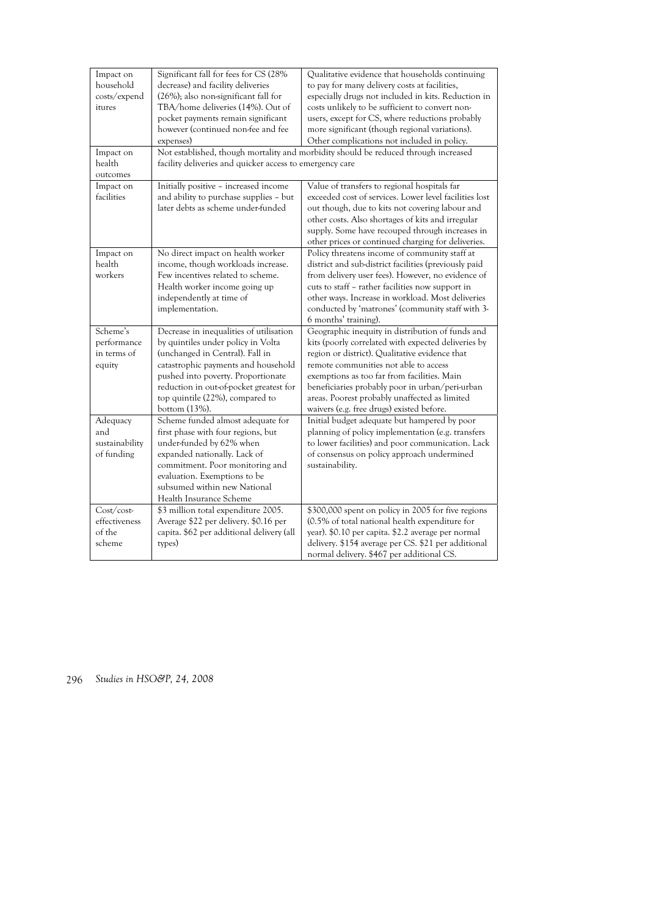| Impact on<br>household<br>costs/expend<br>itures<br>Impact on | Significant fall for fees for CS (28%<br>decrease) and facility deliveries<br>(26%); also non-significant fall for<br>TBA/home deliveries (14%). Out of<br>pocket payments remain significant<br>however (continued non-fee and fee<br>expenses)                                             | Qualitative evidence that households continuing<br>to pay for many delivery costs at facilities,<br>especially drugs not included in kits. Reduction in<br>costs unlikely to be sufficient to convert non-<br>users, except for CS, where reductions probably<br>more significant (though regional variations).<br>Other complications not included in policy.<br>Not established, though mortality and morbidity should be reduced through increased |
|---------------------------------------------------------------|----------------------------------------------------------------------------------------------------------------------------------------------------------------------------------------------------------------------------------------------------------------------------------------------|-------------------------------------------------------------------------------------------------------------------------------------------------------------------------------------------------------------------------------------------------------------------------------------------------------------------------------------------------------------------------------------------------------------------------------------------------------|
| health<br>outcomes                                            | facility deliveries and quicker access to emergency care                                                                                                                                                                                                                                     |                                                                                                                                                                                                                                                                                                                                                                                                                                                       |
| Impact on<br>facilities                                       | Initially positive - increased income<br>and ability to purchase supplies - but<br>later debts as scheme under-funded                                                                                                                                                                        | Value of transfers to regional hospitals far<br>exceeded cost of services. Lower level facilities lost<br>out though, due to kits not covering labour and<br>other costs. Also shortages of kits and irregular<br>supply. Some have recouped through increases in<br>other prices or continued charging for deliveries.                                                                                                                               |
| Impact on<br>health<br>workers                                | No direct impact on health worker<br>income, though workloads increase.<br>Few incentives related to scheme.<br>Health worker income going up<br>independently at time of<br>implementation.                                                                                                 | Policy threatens income of community staff at<br>district and sub-district facilities (previously paid<br>from delivery user fees). However, no evidence of<br>cuts to staff - rather facilities now support in<br>other ways. Increase in workload. Most deliveries<br>conducted by 'matrones' (community staff with 3-<br>6 months' training).                                                                                                      |
| Scheme's<br>performance<br>in terms of<br>equity              | Decrease in inequalities of utilisation<br>by quintiles under policy in Volta<br>(unchanged in Central). Fall in<br>catastrophic payments and household<br>pushed into poverty. Proportionate<br>reduction in out-of-pocket greatest for<br>top quintile (22%), compared to<br>bottom (13%). | Geographic inequity in distribution of funds and<br>kits (poorly correlated with expected deliveries by<br>region or district). Qualitative evidence that<br>remote communities not able to access<br>exemptions as too far from facilities. Main<br>beneficiaries probably poor in urban/peri-urban<br>areas. Poorest probably unaffected as limited<br>waivers (e.g. free drugs) existed before.                                                    |
| Adequacy<br>and<br>sustainability<br>of funding               | Scheme funded almost adequate for<br>first phase with four regions, but<br>under-funded by 62% when<br>expanded nationally. Lack of<br>commitment. Poor monitoring and<br>evaluation. Exemptions to be<br>subsumed within new National<br>Health Insurance Scheme                            | Initial budget adequate but hampered by poor<br>planning of policy implementation (e.g. transfers<br>to lower facilities) and poor communication. Lack<br>of consensus on policy approach undermined<br>sustainability.                                                                                                                                                                                                                               |
| Cost/cost-<br>effectiveness<br>of the<br>scheme               | \$3 million total expenditure 2005.<br>Average \$22 per delivery. \$0.16 per<br>capita. \$62 per additional delivery (all<br>types)                                                                                                                                                          | \$300,000 spent on policy in 2005 for five regions<br>(0.5% of total national health expenditure for<br>year). \$0.10 per capita. \$2.2 average per normal<br>delivery. \$154 average per CS. \$21 per additional<br>normal delivery. \$467 per additional CS.                                                                                                                                                                                        |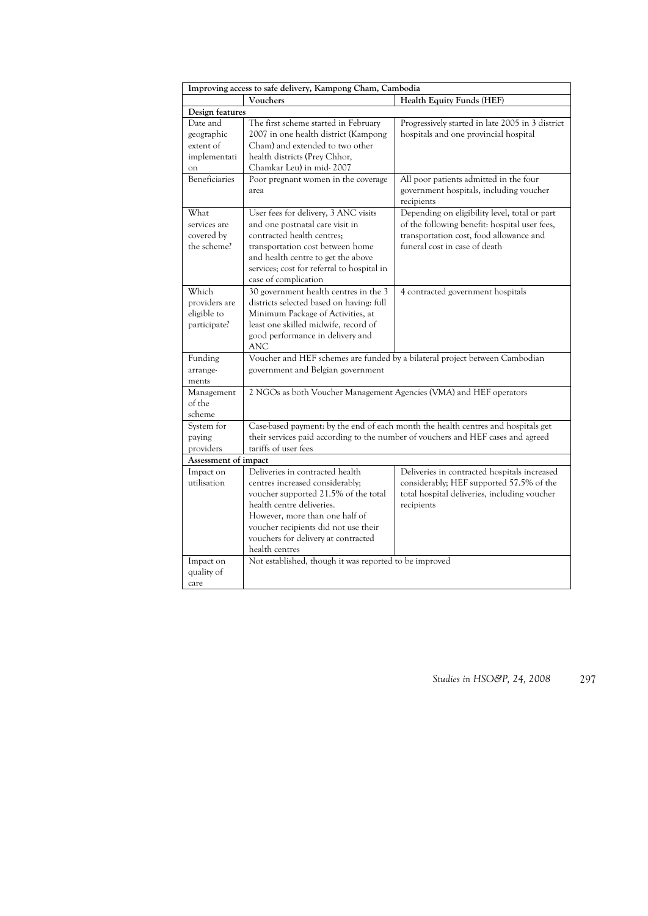| Improving access to safe delivery, Kampong Cham, Cambodia |                                                                                                                                                                                                                                                                            |                                                                                                                                                                            |  |
|-----------------------------------------------------------|----------------------------------------------------------------------------------------------------------------------------------------------------------------------------------------------------------------------------------------------------------------------------|----------------------------------------------------------------------------------------------------------------------------------------------------------------------------|--|
|                                                           | Vouchers                                                                                                                                                                                                                                                                   | Health Equity Funds (HEF)                                                                                                                                                  |  |
| Design features                                           |                                                                                                                                                                                                                                                                            |                                                                                                                                                                            |  |
| Date and<br>geographic<br>extent of<br>implementati<br>on | The first scheme started in February<br>2007 in one health district (Kampong<br>Cham) and extended to two other<br>health districts (Prey Chhor,<br>Chamkar Leu) in mid-2007                                                                                               | Progressively started in late 2005 in 3 district<br>hospitals and one provincial hospital                                                                                  |  |
| Beneficiaries                                             | Poor pregnant women in the coverage<br>area                                                                                                                                                                                                                                | All poor patients admitted in the four<br>government hospitals, including voucher<br>recipients                                                                            |  |
| What<br>services are<br>covered by<br>the scheme?         | User fees for delivery, 3 ANC visits<br>and one postnatal care visit in<br>contracted health centres;<br>transportation cost between home<br>and health centre to get the above<br>services; cost for referral to hospital in<br>case of complication                      | Depending on eligibility level, total or part<br>of the following benefit: hospital user fees,<br>transportation cost, food allowance and<br>funeral cost in case of death |  |
| Which<br>providers are<br>eligible to<br>participate?     | 30 government health centres in the 3<br>districts selected based on having: full<br>Minimum Package of Activities, at<br>least one skilled midwife, record of<br>good performance in delivery and<br><b>ANC</b>                                                           | 4 contracted government hospitals                                                                                                                                          |  |
| Funding<br>arrange-<br>ments                              | government and Belgian government                                                                                                                                                                                                                                          | Voucher and HEF schemes are funded by a bilateral project between Cambodian                                                                                                |  |
| Management<br>of the<br>scheme                            | 2 NGOs as both Voucher Management Agencies (VMA) and HEF operators                                                                                                                                                                                                         |                                                                                                                                                                            |  |
| System for<br>paying<br>providers                         | tariffs of user fees                                                                                                                                                                                                                                                       | Case-based payment: by the end of each month the health centres and hospitals get<br>their services paid according to the number of vouchers and HEF cases and agreed      |  |
| Assessment of impact                                      |                                                                                                                                                                                                                                                                            |                                                                                                                                                                            |  |
| Impact on<br>utilisation                                  | Deliveries in contracted health<br>centres increased considerably;<br>voucher supported 21.5% of the total<br>health centre deliveries.<br>However, more than one half of<br>voucher recipients did not use their<br>vouchers for delivery at contracted<br>health centres | Deliveries in contracted hospitals increased<br>considerably; HEF supported 57.5% of the<br>total hospital deliveries, including voucher<br>recipients                     |  |
| Impact on<br>quality of<br>care                           | Not established, though it was reported to be improved                                                                                                                                                                                                                     |                                                                                                                                                                            |  |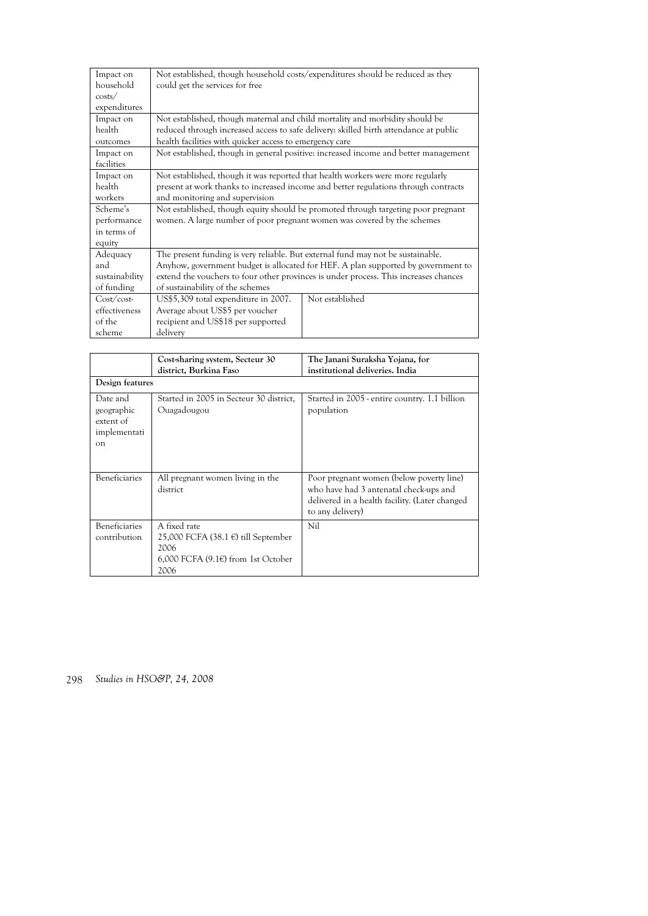| Impact on                                        | Not established, though household costs/expenditures should be reduced as they                                                                               |                 |  |
|--------------------------------------------------|--------------------------------------------------------------------------------------------------------------------------------------------------------------|-----------------|--|
| household                                        | could get the services for free                                                                                                                              |                 |  |
| costs/<br>expenditures                           |                                                                                                                                                              |                 |  |
| Impact on                                        | Not established, though maternal and child mortality and morbidity should be                                                                                 |                 |  |
| health                                           | reduced through increased access to safe delivery: skilled birth attendance at public                                                                        |                 |  |
| outcomes                                         | health facilities with quicker access to emergency care                                                                                                      |                 |  |
| Impact on<br>facilities                          | Not established, though in general positive: increased income and better management                                                                          |                 |  |
| Impact on                                        | Not established, though it was reported that health workers were more regularly                                                                              |                 |  |
| health                                           | present at work thanks to increased income and better regulations through contracts                                                                          |                 |  |
| workers                                          | and monitoring and supervision                                                                                                                               |                 |  |
| Scheme's<br>performance<br>in terms of<br>equity | Not established, though equity should be promoted through targeting poor pregnant<br>women. A large number of poor pregnant women was covered by the schemes |                 |  |
| Adequacy                                         | The present funding is very reliable. But external fund may not be sustainable.                                                                              |                 |  |
| and                                              | Anyhow, government budget is allocated for HEF. A plan supported by government to                                                                            |                 |  |
| sustainability                                   | extend the vouchers to four other provinces is under process. This increases chances                                                                         |                 |  |
| of funding                                       | of sustainability of the schemes                                                                                                                             |                 |  |
| Cost/cost<br>effectiveness<br>of the<br>scheme   | US\$5,309 total expenditure in 2007.<br>Average about US\$5 per voucher<br>recipient and US\$18 per supported<br>delivery                                    | Not established |  |

|                                                                       | Cost-sharing system, Secteur 30<br>district, Burkina Faso                                                              | The Janani Suraksha Yojana, for<br>institutional deliveries. India                                                                                       |
|-----------------------------------------------------------------------|------------------------------------------------------------------------------------------------------------------------|----------------------------------------------------------------------------------------------------------------------------------------------------------|
| Design features                                                       |                                                                                                                        |                                                                                                                                                          |
| Date and<br>geographic<br>extent of<br>implementati<br>$_{\text{on}}$ | Started in 2005 in Secteur 30 district,<br>Ouagadougou                                                                 | Started in 2005 - entire country. 1.1 billion<br>population                                                                                              |
| <b>Beneficiaries</b>                                                  | All pregnant women living in the<br>district                                                                           | Poor pregnant women (below poverty line)<br>who have had 3 antenatal check-ups and<br>delivered in a health facility. (Later changed<br>to any delivery) |
| <b>Beneficiaries</b><br>contribution                                  | A fixed rate<br>25,000 FCFA (38.1 $\epsilon$ ) till September<br>2006<br>$6,000$ FCFA $(9.1)$ from 1st October<br>2006 | Nil                                                                                                                                                      |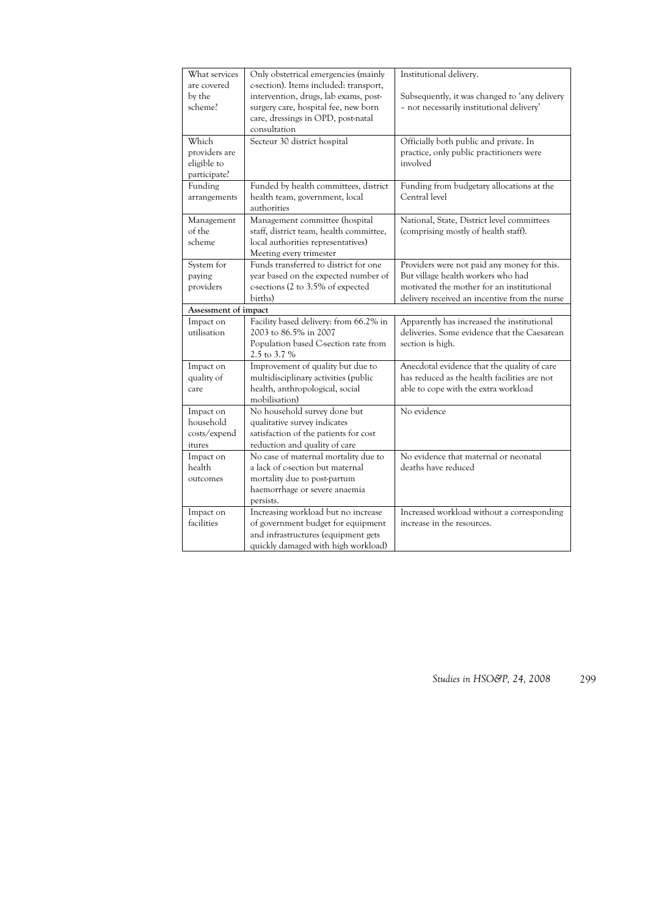| What services        | Only obstetrical emergencies (mainly                                       | Institutional delivery.                       |
|----------------------|----------------------------------------------------------------------------|-----------------------------------------------|
| are covered          | c-section). Items included: transport,                                     |                                               |
| by the               | intervention, drugs, lab exams, post-                                      | Subsequently, it was changed to 'any delivery |
| scheme?              | surgery care, hospital fee, new born                                       | - not necessarily institutional delivery'     |
|                      | care, dressings in OPD, post-natal                                         |                                               |
|                      | consultation                                                               |                                               |
| Which                | Secteur 30 district hospital                                               | Officially both public and private. In        |
| providers are        |                                                                            | practice, only public practitioners were      |
| eligible to          |                                                                            | involved                                      |
| participate?         |                                                                            |                                               |
| Funding              | Funded by health committees, district                                      | Funding from budgetary allocations at the     |
| arrangements         | health team, government, local                                             | Central level                                 |
|                      | authorities                                                                |                                               |
| Management           | Management committee (hospital                                             | National, State, District level committees    |
| of the               | staff, district team, health committee,                                    | (comprising mostly of health staff).          |
| scheme               | local authorities representatives)                                         |                                               |
|                      |                                                                            |                                               |
|                      | Meeting every trimester<br>Funds transferred to district for one           |                                               |
| System for           |                                                                            | Providers were not paid any money for this.   |
| paying               | year based on the expected number of                                       | But village health workers who had            |
| providers            | c-sections (2 to 3.5% of expected                                          | motivated the mother for an institutional     |
|                      | births)                                                                    | delivery received an incentive from the nurse |
| Assessment of impact |                                                                            |                                               |
| Impact on            | Facility based delivery: from 66.2% in                                     | Apparently has increased the institutional    |
| utilisation          | 2003 to 86.5% in 2007                                                      | deliveries. Some evidence that the Caesarean  |
|                      | Population based C-section rate from                                       | section is high.                              |
|                      | 2.5 to 3.7 %                                                               |                                               |
| Impact on            | Improvement of quality but due to                                          | Anecdotal evidence that the quality of care   |
| quality of           | multidisciplinary activities (public                                       | has reduced as the health facilities are not  |
| care                 | health, anthropological, social                                            | able to cope with the extra workload          |
|                      | mobilisation)                                                              |                                               |
| Impact on            | No household survey done but                                               | No evidence                                   |
| household            | qualitative survey indicates                                               |                                               |
| costs/expend         | satisfaction of the patients for cost                                      |                                               |
| itures               | reduction and quality of care                                              |                                               |
| Impact on            | No case of maternal mortality due to                                       | No evidence that maternal or neonatal         |
| health               | a lack of c-section but maternal                                           | deaths have reduced                           |
| outcomes             | mortality due to post-partum                                               |                                               |
|                      |                                                                            |                                               |
|                      | haemorrhage or severe anaemia                                              |                                               |
|                      | persists.                                                                  |                                               |
| Impact on            | Increasing workload but no increase                                        | Increased workload without a corresponding    |
| facilities           | of government budget for equipment                                         | increase in the resources.                    |
|                      |                                                                            |                                               |
|                      | and infrastructures (equipment gets<br>quickly damaged with high workload) |                                               |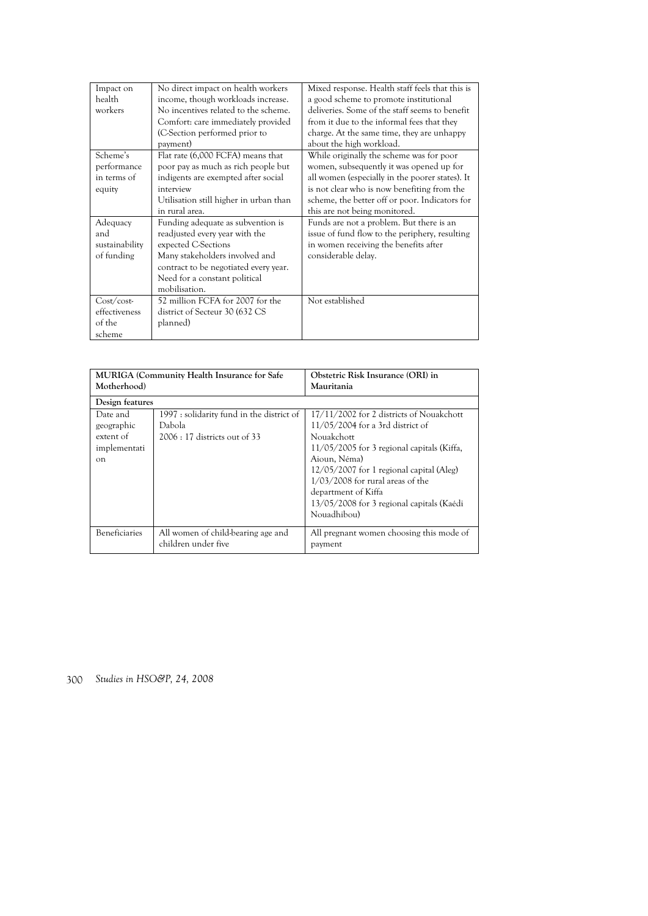| Impact on<br>health<br>workers                   | No direct impact on health workers<br>income, though workloads increase.<br>No incentives related to the scheme.<br>Comfort: care immediately provided<br>(C-Section performed prior to<br>payment)                     | Mixed response. Health staff feels that this is<br>a good scheme to promote institutional<br>deliveries. Some of the staff seems to benefit<br>from it due to the informal fees that they<br>charge. At the same time, they are unhappy<br>about the high workload.       |
|--------------------------------------------------|-------------------------------------------------------------------------------------------------------------------------------------------------------------------------------------------------------------------------|---------------------------------------------------------------------------------------------------------------------------------------------------------------------------------------------------------------------------------------------------------------------------|
| Scheme's<br>performance<br>in terms of<br>equity | Flat rate (6,000 FCFA) means that<br>poor pay as much as rich people but<br>indigents are exempted after social<br>interview<br>Utilisation still higher in urban than<br>in rural area.                                | While originally the scheme was for poor<br>women, subsequently it was opened up for<br>all women (especially in the poorer states). It<br>is not clear who is now benefiting from the<br>scheme, the better off or poor. Indicators for<br>this are not being monitored. |
| Adequacy<br>and<br>sustainability<br>of funding  | Funding adequate as subvention is<br>readjusted every year with the<br>expected C-Sections<br>Many stakeholders involved and<br>contract to be negotiated every year.<br>Need for a constant political<br>mobilisation. | Funds are not a problem. But there is an<br>issue of fund flow to the periphery, resulting<br>in women receiving the benefits after<br>considerable delay.                                                                                                                |
| Cost/cost<br>effectiveness<br>of the<br>scheme   | 52 million FCFA for 2007 for the<br>district of Secteur 30 (632 CS<br>planned)                                                                                                                                          | Not established                                                                                                                                                                                                                                                           |

| <b>MURIGA</b> (Community Health Insurance for Safe<br>Motherhood)    |                                                                                      | Obstetric Risk Insurance (ORI) in<br>Mauritania                                                                                                                                                                                                                                                                                 |  |  |
|----------------------------------------------------------------------|--------------------------------------------------------------------------------------|---------------------------------------------------------------------------------------------------------------------------------------------------------------------------------------------------------------------------------------------------------------------------------------------------------------------------------|--|--|
| Design features                                                      |                                                                                      |                                                                                                                                                                                                                                                                                                                                 |  |  |
| Date and<br>geographic<br>extent of<br>implementati<br><sub>on</sub> | 1997 : solidarity fund in the district of<br>Dabola<br>$2006:17$ districts out of 33 | 17/11/2002 for 2 districts of Nouakchott<br>11/05/2004 for a 3rd district of<br>Nouakchott<br>$11/05/2005$ for 3 regional capitals (Kiffa,<br>Aioun, Néma)<br>12/05/2007 for 1 regional capital (Aleg)<br>$1/03/2008$ for rural areas of the<br>department of Kiffa<br>13/05/2008 for 3 regional capitals (Kaédi<br>Nouadhibou) |  |  |
| <b>Beneficiaries</b>                                                 | All women of child-bearing age and<br>children under five                            | All pregnant women choosing this mode of<br>payment                                                                                                                                                                                                                                                                             |  |  |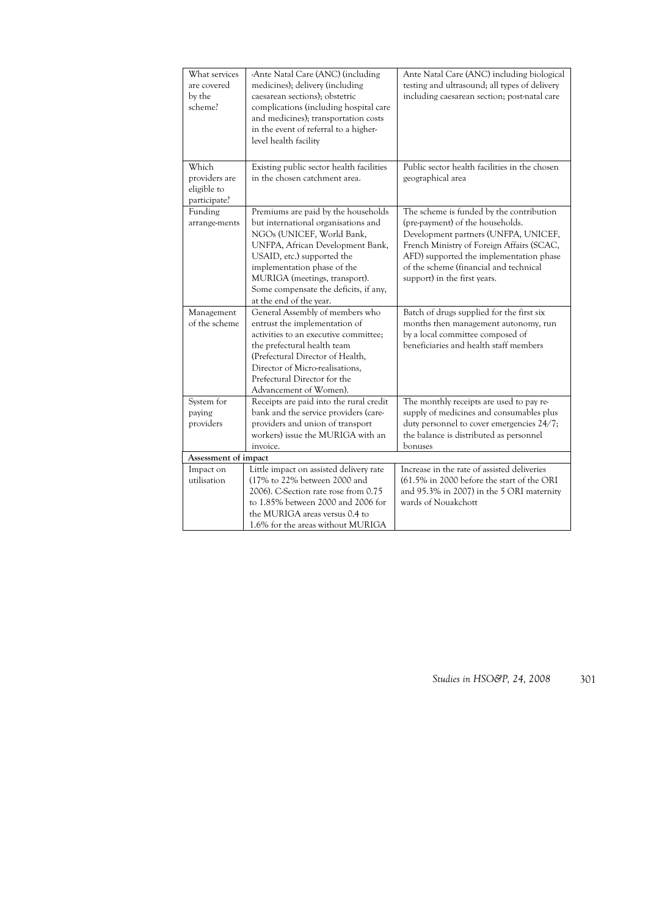| What services<br>are covered<br>by the<br>scheme?     | -Ante Natal Care (ANC) (including<br>medicines); delivery (including<br>caesarean sections); obstetric<br>complications (including hospital care<br>and medicines); transportation costs<br>in the event of referral to a higher-<br>level health facility                                                    | Ante Natal Care (ANC) including biological<br>testing and ultrasound; all types of delivery<br>including caesarean section; post-natal care                                                                                                                                            |
|-------------------------------------------------------|---------------------------------------------------------------------------------------------------------------------------------------------------------------------------------------------------------------------------------------------------------------------------------------------------------------|----------------------------------------------------------------------------------------------------------------------------------------------------------------------------------------------------------------------------------------------------------------------------------------|
| Which<br>providers are<br>eligible to<br>participate? | Existing public sector health facilities<br>in the chosen catchment area.                                                                                                                                                                                                                                     | Public sector health facilities in the chosen<br>geographical area                                                                                                                                                                                                                     |
| Funding<br>arrange-ments                              | Premiums are paid by the households<br>but international organisations and<br>NGOs (UNICEF, World Bank,<br>UNFPA, African Development Bank,<br>USAID, etc.) supported the<br>implementation phase of the<br>MURIGA (meetings, transport).<br>Some compensate the deficits, if any,<br>at the end of the year. | The scheme is funded by the contribution<br>(pre-payment) of the households.<br>Development partners (UNFPA, UNICEF,<br>French Ministry of Foreign Affairs (SCAC,<br>AFD) supported the implementation phase<br>of the scheme (financial and technical<br>support) in the first years. |
| Management<br>of the scheme                           | General Assembly of members who<br>entrust the implementation of<br>activities to an executive committee;<br>the prefectural health team<br>(Prefectural Director of Health,<br>Director of Micro-realisations,<br>Prefectural Director for the<br>Advancement of Women).                                     | Batch of drugs supplied for the first six<br>months then management autonomy, run<br>by a local committee composed of<br>beneficiaries and health staff members                                                                                                                        |
| System for<br>paying<br>providers                     | Receipts are paid into the rural credit<br>bank and the service providers (care-<br>providers and union of transport<br>workers) issue the MURIGA with an<br>invoice.                                                                                                                                         | The monthly receipts are used to pay re-<br>supply of medicines and consumables plus<br>duty personnel to cover emergencies 24/7;<br>the balance is distributed as personnel<br>bonuses                                                                                                |
| Assessment of impact                                  |                                                                                                                                                                                                                                                                                                               |                                                                                                                                                                                                                                                                                        |
| Impact on<br>utilisation                              | Little impact on assisted delivery rate<br>(17% to 22% between 2000 and<br>2006). C-Section rate rose from 0.75<br>to 1.85% between 2000 and 2006 for<br>the MURIGA areas versus 0.4 to                                                                                                                       | Increase in the rate of assisted deliveries<br>(61.5% in 2000 before the start of the ORI<br>and 95.3% in 2007) in the 5 ORI maternity<br>wards of Nouakchott                                                                                                                          |
|                                                       | 1.6% for the areas without MURIGA                                                                                                                                                                                                                                                                             |                                                                                                                                                                                                                                                                                        |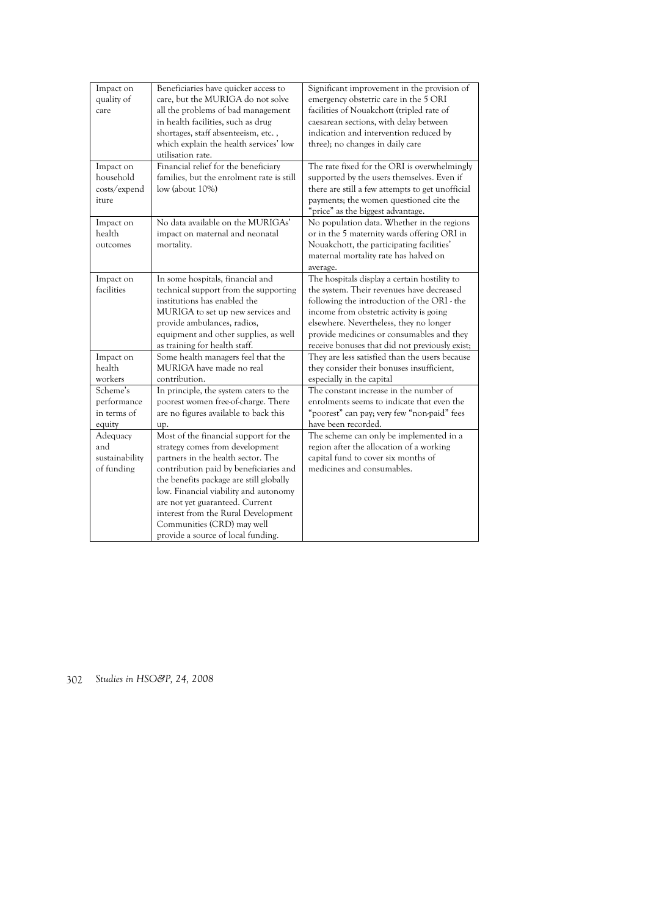| Impact on<br>quality of<br>care                  | Beneficiaries have quicker access to<br>care, but the MURIGA do not solve<br>all the problems of bad management<br>in health facilities, such as drug<br>shortages, staff absenteeism, etc.,<br>which explain the health services' low<br>utilisation rate.                                                                                                                                | Significant improvement in the provision of<br>emergency obstetric care in the 5 ORI<br>facilities of Nouakchott (tripled rate of<br>caesarean sections, with delay between<br>indication and intervention reduced by<br>three); no changes in daily care                                                                     |
|--------------------------------------------------|--------------------------------------------------------------------------------------------------------------------------------------------------------------------------------------------------------------------------------------------------------------------------------------------------------------------------------------------------------------------------------------------|-------------------------------------------------------------------------------------------------------------------------------------------------------------------------------------------------------------------------------------------------------------------------------------------------------------------------------|
| Impact on<br>household<br>costs/expend<br>iture  | Financial relief for the beneficiary<br>families, but the enrolment rate is still<br>$low$ (about $10\%$ )                                                                                                                                                                                                                                                                                 | The rate fixed for the ORI is overwhelmingly<br>supported by the users themselves. Even if<br>there are still a few attempts to get unofficial<br>payments; the women questioned cite the<br>"price" as the biggest advantage.                                                                                                |
| Impact on<br>health<br>outcomes                  | No data available on the MURIGAs'<br>impact on maternal and neonatal<br>mortality.                                                                                                                                                                                                                                                                                                         | No population data. Whether in the regions<br>or in the 5 maternity wards offering ORI in<br>Nouakchott, the participating facilities'<br>maternal mortality rate has halved on<br>average.                                                                                                                                   |
| Impact on<br>facilities                          | In some hospitals, financial and<br>technical support from the supporting<br>institutions has enabled the<br>MURIGA to set up new services and<br>provide ambulances, radios,<br>equipment and other supplies, as well<br>as training for health staff.                                                                                                                                    | The hospitals display a certain hostility to<br>the system. Their revenues have decreased<br>following the introduction of the ORI - the<br>income from obstetric activity is going<br>elsewhere. Nevertheless, they no longer<br>provide medicines or consumables and they<br>receive bonuses that did not previously exist; |
| Impact on<br>health<br>workers                   | Some health managers feel that the<br>MURIGA have made no real<br>contribution.                                                                                                                                                                                                                                                                                                            | They are less satisfied than the users because<br>they consider their bonuses insufficient,<br>especially in the capital                                                                                                                                                                                                      |
| Scheme's<br>performance<br>in terms of<br>equity | In principle, the system caters to the<br>poorest women free-of-charge. There<br>are no figures available to back this<br>up.                                                                                                                                                                                                                                                              | The constant increase in the number of<br>enrolments seems to indicate that even the<br>"poorest" can pay; very few "non-paid" fees<br>have been recorded.                                                                                                                                                                    |
| Adequacy<br>and<br>sustainability<br>of funding  | Most of the financial support for the<br>strategy comes from development<br>partners in the health sector. The<br>contribution paid by beneficiaries and<br>the benefits package are still globally<br>low. Financial viability and autonomy<br>are not yet guaranteed. Current<br>interest from the Rural Development<br>Communities (CRD) may well<br>provide a source of local funding. | The scheme can only be implemented in a<br>region after the allocation of a working<br>capital fund to cover six months of<br>medicines and consumables.                                                                                                                                                                      |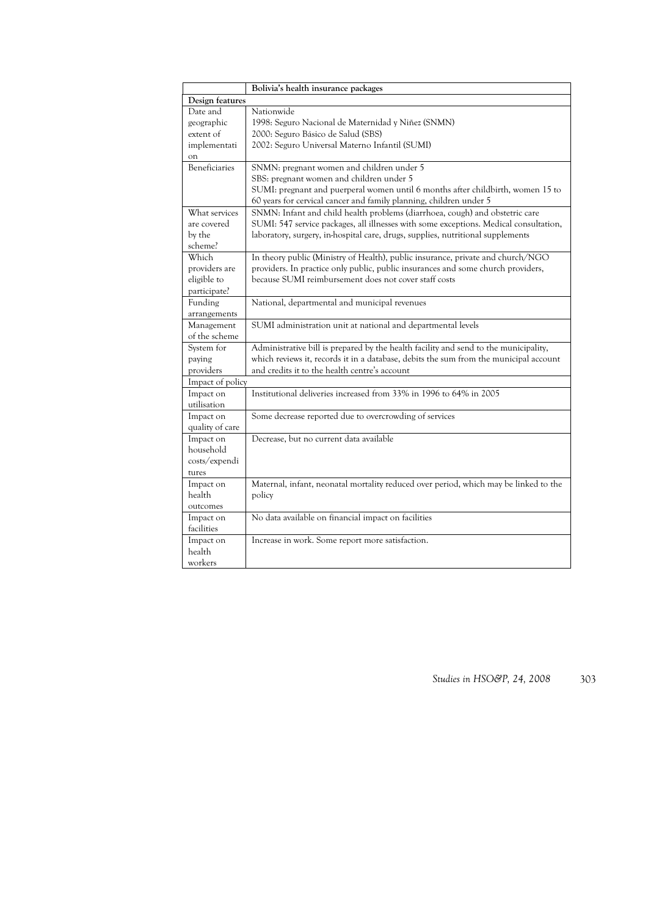|                                                           | Bolivia's health insurance packages                                                                                                                                                                                                                      |  |
|-----------------------------------------------------------|----------------------------------------------------------------------------------------------------------------------------------------------------------------------------------------------------------------------------------------------------------|--|
| Design features                                           |                                                                                                                                                                                                                                                          |  |
| Date and<br>geographic<br>extent of<br>implementati<br>on | Nationwide<br>1998: Seguro Nacional de Maternidad y Niñez (SNMN)<br>2000: Seguro Básico de Salud (SBS)<br>2002: Seguro Universal Materno Infantil (SUMI)                                                                                                 |  |
| <b>Beneficiaries</b>                                      | SNMN: pregnant women and children under 5<br>SBS: pregnant women and children under 5<br>SUMI: pregnant and puerperal women until 6 months after childbirth, women 15 to<br>60 years for cervical cancer and family planning, children under 5           |  |
| What services<br>are covered<br>by the<br>scheme?         | SNMN: Infant and child health problems (diarrhoea, cough) and obstetric care<br>SUMI: 547 service packages, all illnesses with some exceptions. Medical consultation,<br>laboratory, surgery, in-hospital care, drugs, supplies, nutritional supplements |  |
| Which<br>providers are<br>eligible to<br>participate?     | In theory public (Ministry of Health), public insurance, private and church/NGO<br>providers. In practice only public, public insurances and some church providers,<br>because SUMI reimbursement does not cover staff costs                             |  |
| Funding<br>arrangements                                   | National, departmental and municipal revenues                                                                                                                                                                                                            |  |
| Management<br>of the scheme                               | SUMI administration unit at national and departmental levels                                                                                                                                                                                             |  |
| System for<br>paying<br>providers                         | Administrative bill is prepared by the health facility and send to the municipality,<br>which reviews it, records it in a database, debits the sum from the municipal account<br>and credits it to the health centre's account                           |  |
| Impact of policy                                          |                                                                                                                                                                                                                                                          |  |
| Impact on<br>utilisation                                  | Institutional deliveries increased from 33% in 1996 to 64% in 2005                                                                                                                                                                                       |  |
| Impact on<br>quality of care                              | Some decrease reported due to overcrowding of services                                                                                                                                                                                                   |  |
| Impact on<br>household<br>costs/expendi<br>tures          | Decrease, but no current data available                                                                                                                                                                                                                  |  |
| Impact on<br>health<br>outcomes                           | Maternal, infant, neonatal mortality reduced over period, which may be linked to the<br>policy                                                                                                                                                           |  |
| Impact on<br>facilities                                   | No data available on financial impact on facilities                                                                                                                                                                                                      |  |
| Impact on<br>health<br>workers                            | Increase in work. Some report more satisfaction.                                                                                                                                                                                                         |  |